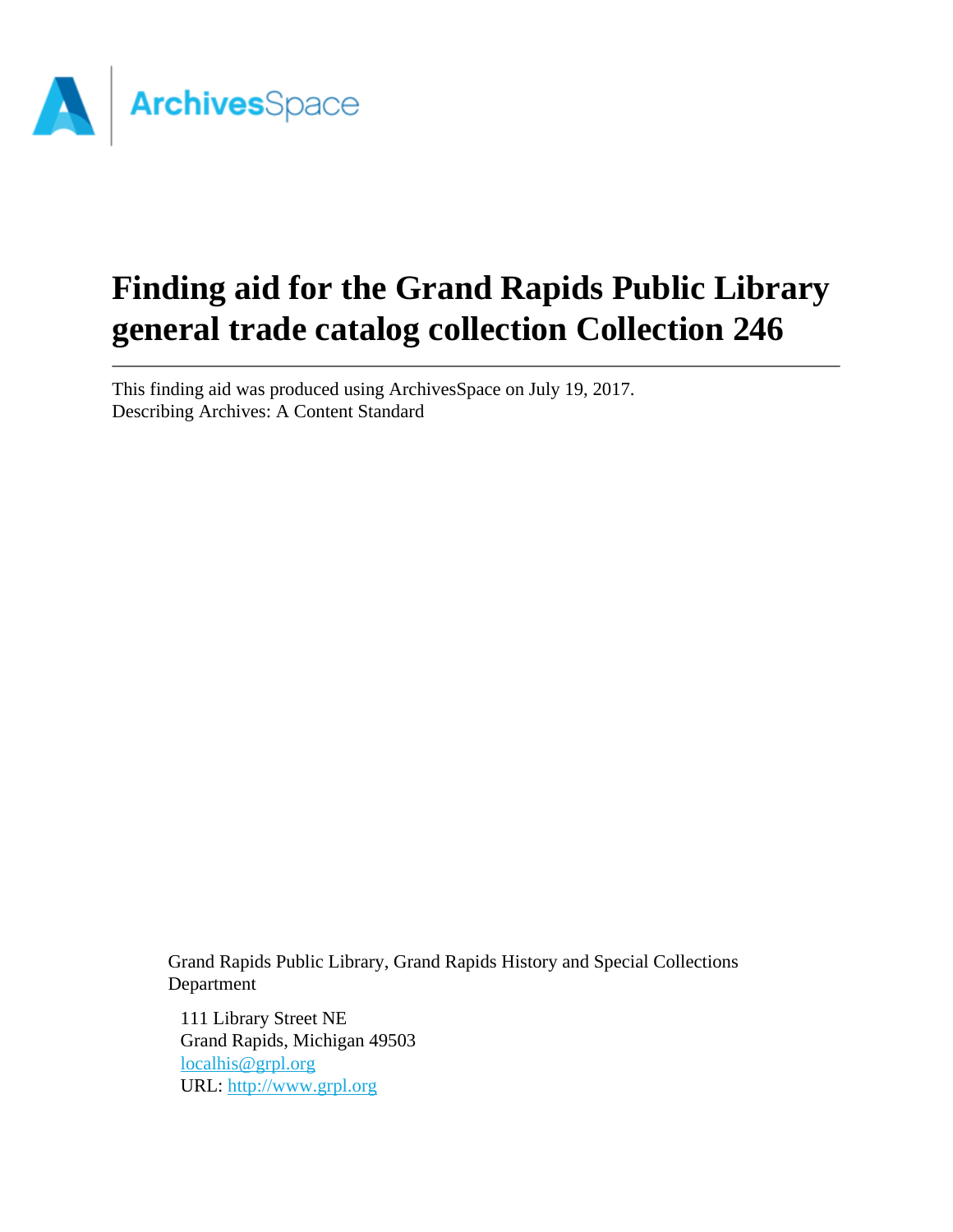

# **Finding aid for the Grand Rapids Public Library general trade catalog collection Collection 246**

This finding aid was produced using ArchivesSpace on July 19, 2017. Describing Archives: A Content Standard

> Grand Rapids Public Library, Grand Rapids History and Special Collections Department

111 Library Street NE Grand Rapids, Michigan 49503 [localhis@grpl.org](mailto:localhis@grpl.org) URL:<http://www.grpl.org>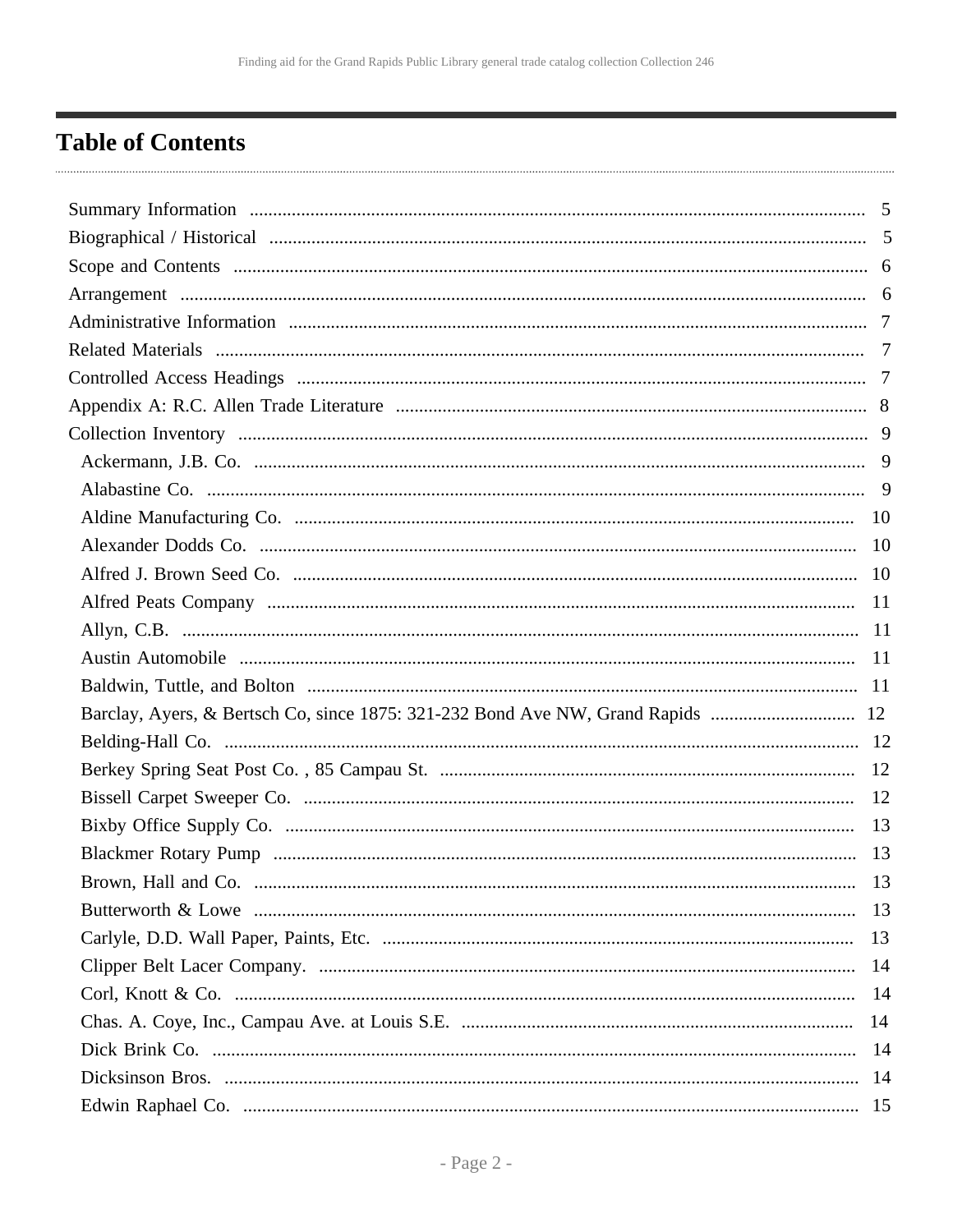# <span id="page-1-0"></span>**Table of Contents**

| Barclay, Ayers, & Bertsch Co, since 1875: 321-232 Bond Ave NW, Grand Rapids  12 |    |
|---------------------------------------------------------------------------------|----|
|                                                                                 |    |
|                                                                                 |    |
|                                                                                 |    |
|                                                                                 |    |
|                                                                                 |    |
|                                                                                 | 13 |
|                                                                                 |    |
|                                                                                 |    |
|                                                                                 |    |
|                                                                                 |    |
|                                                                                 |    |
|                                                                                 |    |
|                                                                                 |    |
|                                                                                 |    |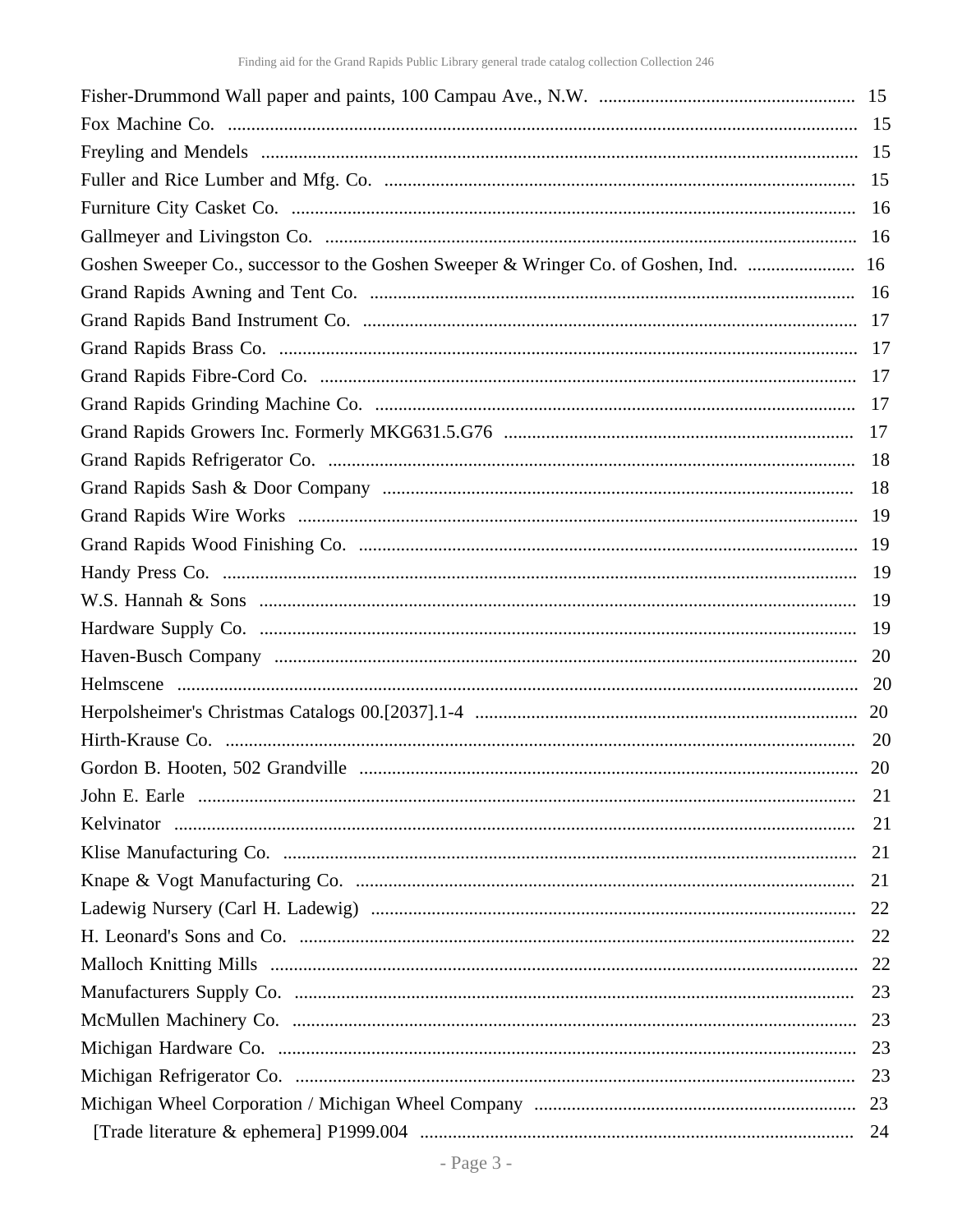| Goshen Sweeper Co., successor to the Goshen Sweeper & Wringer Co. of Goshen, Ind.  16 |  |
|---------------------------------------------------------------------------------------|--|
|                                                                                       |  |
|                                                                                       |  |
|                                                                                       |  |
|                                                                                       |  |
|                                                                                       |  |
|                                                                                       |  |
|                                                                                       |  |
|                                                                                       |  |
|                                                                                       |  |
|                                                                                       |  |
|                                                                                       |  |
|                                                                                       |  |
|                                                                                       |  |
|                                                                                       |  |
|                                                                                       |  |
|                                                                                       |  |
|                                                                                       |  |
|                                                                                       |  |
|                                                                                       |  |
|                                                                                       |  |
|                                                                                       |  |
|                                                                                       |  |
|                                                                                       |  |
|                                                                                       |  |
|                                                                                       |  |
|                                                                                       |  |
|                                                                                       |  |
|                                                                                       |  |
|                                                                                       |  |
|                                                                                       |  |
|                                                                                       |  |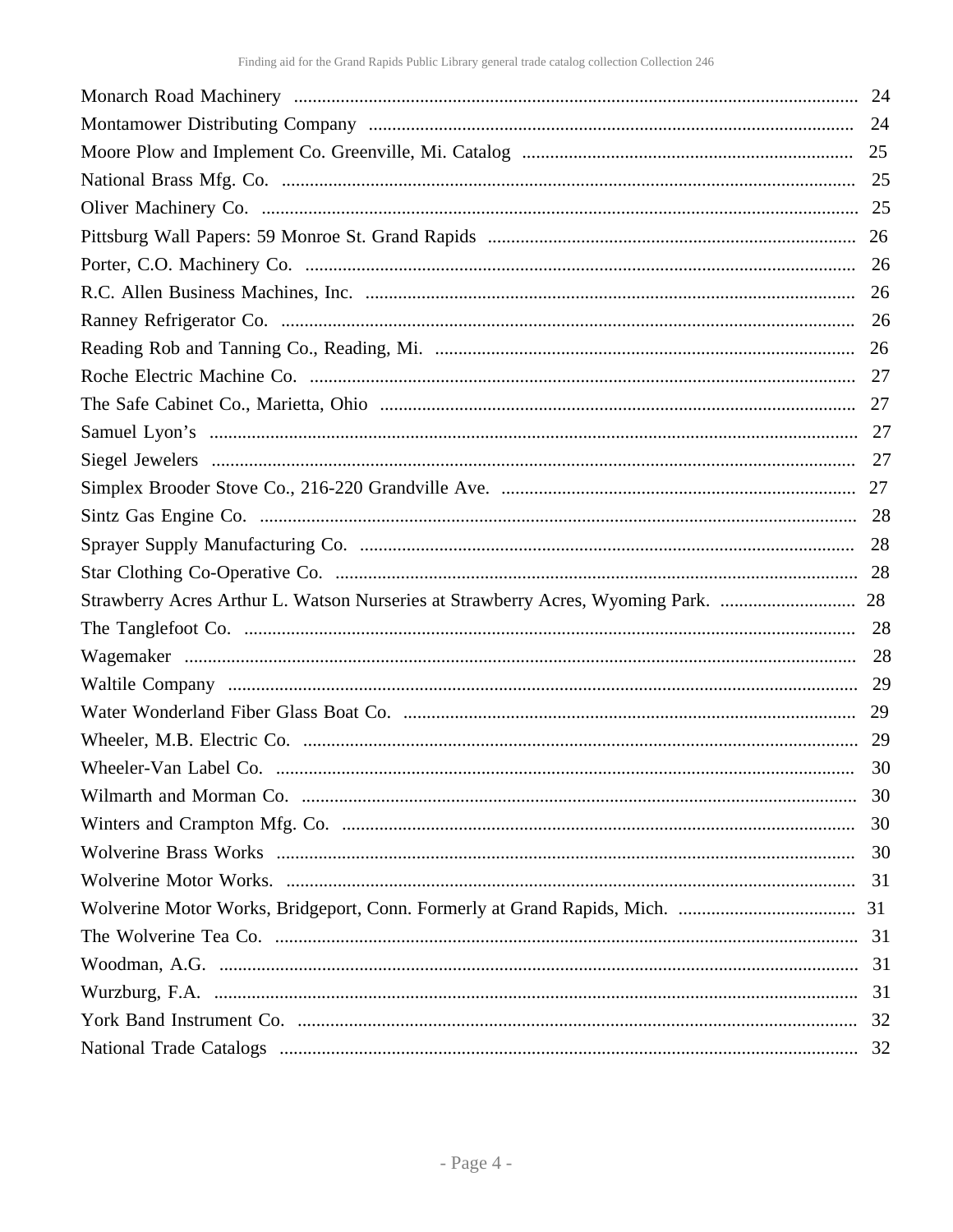|                                                                                    | 24 |
|------------------------------------------------------------------------------------|----|
|                                                                                    |    |
|                                                                                    |    |
|                                                                                    |    |
|                                                                                    |    |
|                                                                                    |    |
|                                                                                    | 26 |
|                                                                                    |    |
|                                                                                    | 26 |
|                                                                                    |    |
|                                                                                    |    |
|                                                                                    |    |
|                                                                                    |    |
|                                                                                    |    |
|                                                                                    |    |
|                                                                                    | 28 |
|                                                                                    |    |
| Strawberry Acres Arthur L. Watson Nurseries at Strawberry Acres, Wyoming Park.  28 |    |
|                                                                                    |    |
|                                                                                    |    |
|                                                                                    |    |
|                                                                                    | 29 |
|                                                                                    | 29 |
|                                                                                    |    |
|                                                                                    | 30 |
|                                                                                    | 30 |
|                                                                                    | 30 |
|                                                                                    | 31 |
|                                                                                    |    |
|                                                                                    |    |
|                                                                                    |    |
|                                                                                    |    |
|                                                                                    | 32 |
|                                                                                    |    |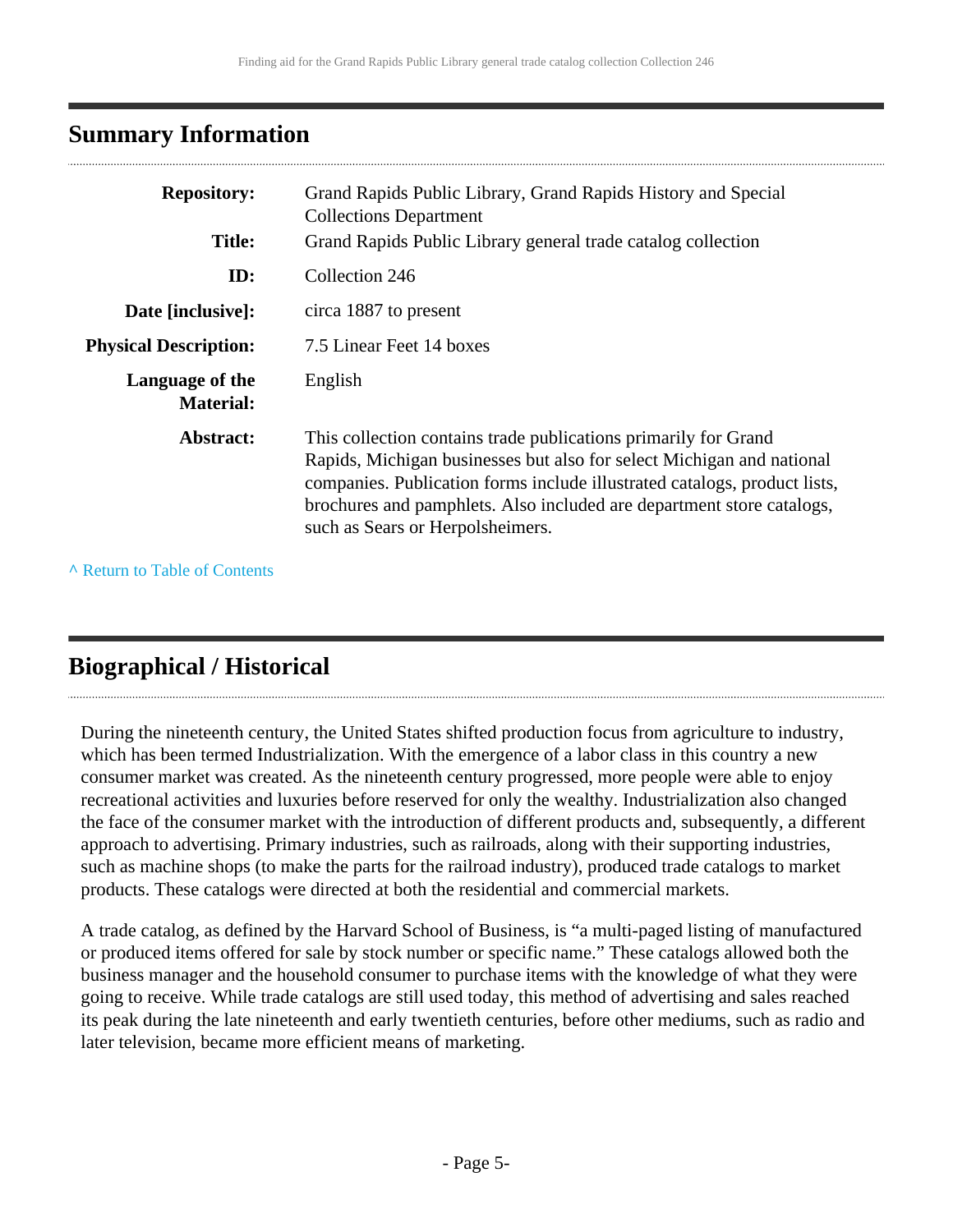# <span id="page-4-0"></span>**Summary Information**

| <b>Repository:</b><br><b>Title:</b> | Grand Rapids Public Library, Grand Rapids History and Special<br><b>Collections Department</b><br>Grand Rapids Public Library general trade catalog collection                                                                                                                                                                     |
|-------------------------------------|------------------------------------------------------------------------------------------------------------------------------------------------------------------------------------------------------------------------------------------------------------------------------------------------------------------------------------|
|                                     |                                                                                                                                                                                                                                                                                                                                    |
| ID:                                 | Collection 246                                                                                                                                                                                                                                                                                                                     |
| Date [inclusive]:                   | circa 1887 to present                                                                                                                                                                                                                                                                                                              |
| <b>Physical Description:</b>        | 7.5 Linear Feet 14 boxes                                                                                                                                                                                                                                                                                                           |
| Language of the<br><b>Material:</b> | English                                                                                                                                                                                                                                                                                                                            |
| Abstract:                           | This collection contains trade publications primarily for Grand<br>Rapids, Michigan businesses but also for select Michigan and national<br>companies. Publication forms include illustrated catalogs, product lists,<br>brochures and pamphlets. Also included are department store catalogs,<br>such as Sears or Herpolsheimers. |

**^** [Return to Table of Contents](#page-1-0)

# <span id="page-4-1"></span>**Biographical / Historical**

During the nineteenth century, the United States shifted production focus from agriculture to industry, which has been termed Industrialization. With the emergence of a labor class in this country a new consumer market was created. As the nineteenth century progressed, more people were able to enjoy recreational activities and luxuries before reserved for only the wealthy. Industrialization also changed the face of the consumer market with the introduction of different products and, subsequently, a different approach to advertising. Primary industries, such as railroads, along with their supporting industries, such as machine shops (to make the parts for the railroad industry), produced trade catalogs to market products. These catalogs were directed at both the residential and commercial markets.

A trade catalog, as defined by the Harvard School of Business, is "a multi-paged listing of manufactured or produced items offered for sale by stock number or specific name." These catalogs allowed both the business manager and the household consumer to purchase items with the knowledge of what they were going to receive. While trade catalogs are still used today, this method of advertising and sales reached its peak during the late nineteenth and early twentieth centuries, before other mediums, such as radio and later television, became more efficient means of marketing.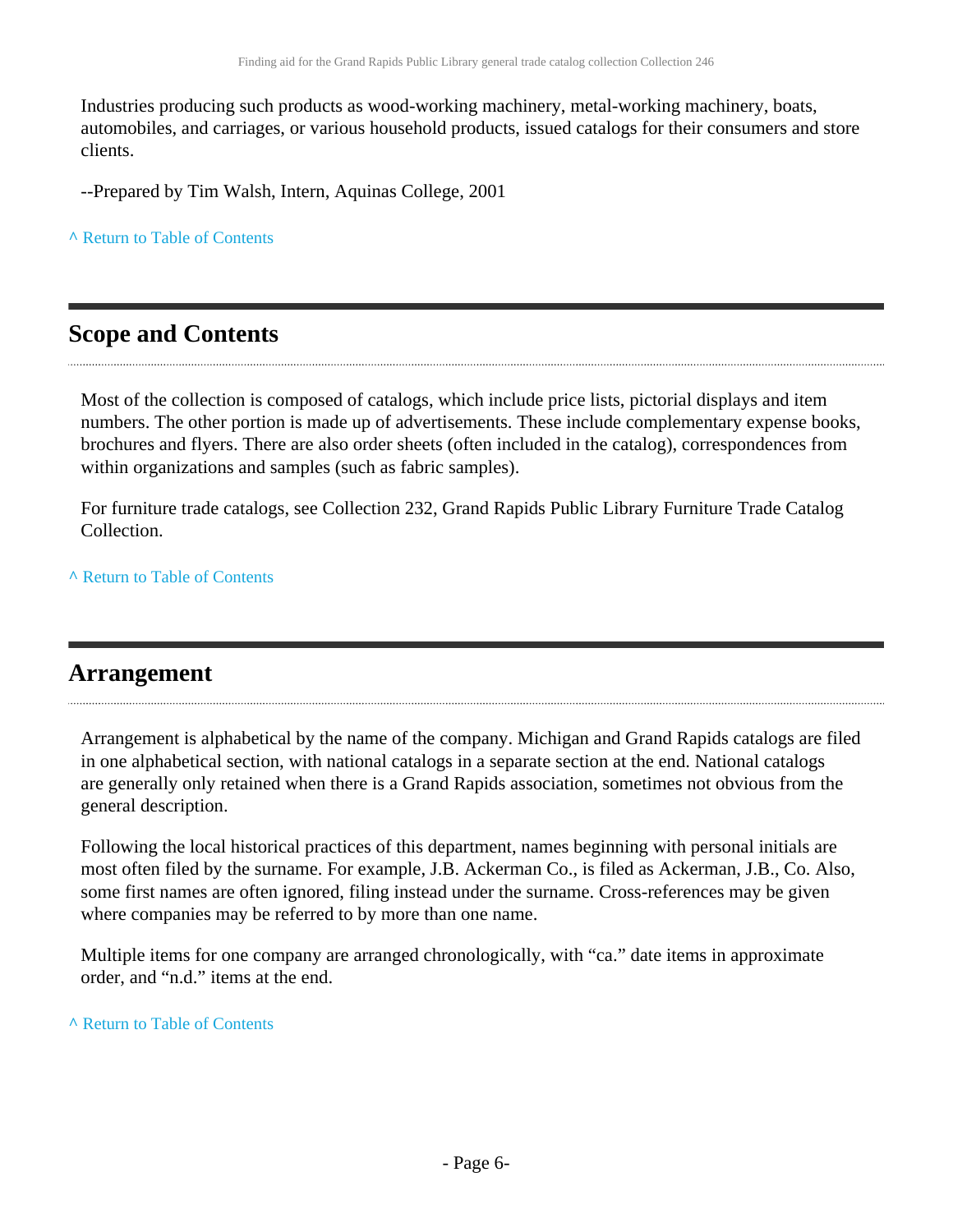Industries producing such products as wood-working machinery, metal-working machinery, boats, automobiles, and carriages, or various household products, issued catalogs for their consumers and store clients.

--Prepared by Tim Walsh, Intern, Aquinas College, 2001

**^** [Return to Table of Contents](#page-1-0)

# <span id="page-5-0"></span>**Scope and Contents**

Most of the collection is composed of catalogs, which include price lists, pictorial displays and item numbers. The other portion is made up of advertisements. These include complementary expense books, brochures and flyers. There are also order sheets (often included in the catalog), correspondences from within organizations and samples (such as fabric samples).

For furniture trade catalogs, see Collection 232, Grand Rapids Public Library Furniture Trade Catalog Collection.

**^** [Return to Table of Contents](#page-1-0)

### <span id="page-5-1"></span>**Arrangement**

Arrangement is alphabetical by the name of the company. Michigan and Grand Rapids catalogs are filed in one alphabetical section, with national catalogs in a separate section at the end. National catalogs are generally only retained when there is a Grand Rapids association, sometimes not obvious from the general description.

Following the local historical practices of this department, names beginning with personal initials are most often filed by the surname. For example, J.B. Ackerman Co., is filed as Ackerman, J.B., Co. Also, some first names are often ignored, filing instead under the surname. Cross-references may be given where companies may be referred to by more than one name.

Multiple items for one company are arranged chronologically, with "ca." date items in approximate order, and "n.d." items at the end.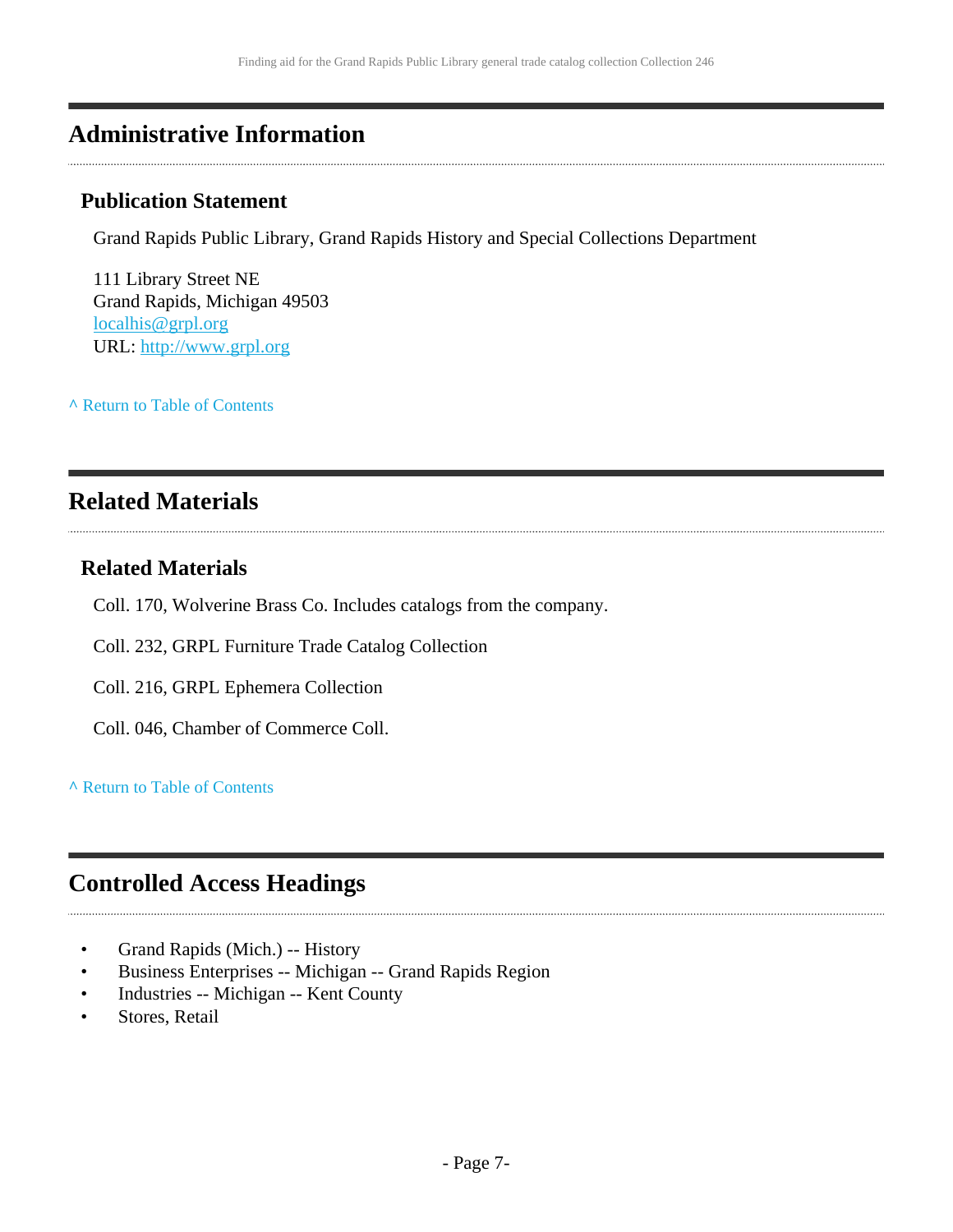# <span id="page-6-0"></span>**Administrative Information**

### **Publication Statement**

Grand Rapids Public Library, Grand Rapids History and Special Collections Department

111 Library Street NE Grand Rapids, Michigan 49503 [localhis@grpl.org](mailto:localhis@grpl.org) URL:<http://www.grpl.org>

**^** [Return to Table of Contents](#page-1-0)

# <span id="page-6-1"></span>**Related Materials**

### **Related Materials**

- Coll. 170, Wolverine Brass Co. Includes catalogs from the company.
- Coll. 232, GRPL Furniture Trade Catalog Collection
- Coll. 216, GRPL Ephemera Collection
- Coll. 046, Chamber of Commerce Coll.

### **^** [Return to Table of Contents](#page-1-0)

# <span id="page-6-2"></span>**Controlled Access Headings**

- Grand Rapids (Mich.) -- History
- Business Enterprises -- Michigan -- Grand Rapids Region
- Industries -- Michigan -- Kent County
- Stores, Retail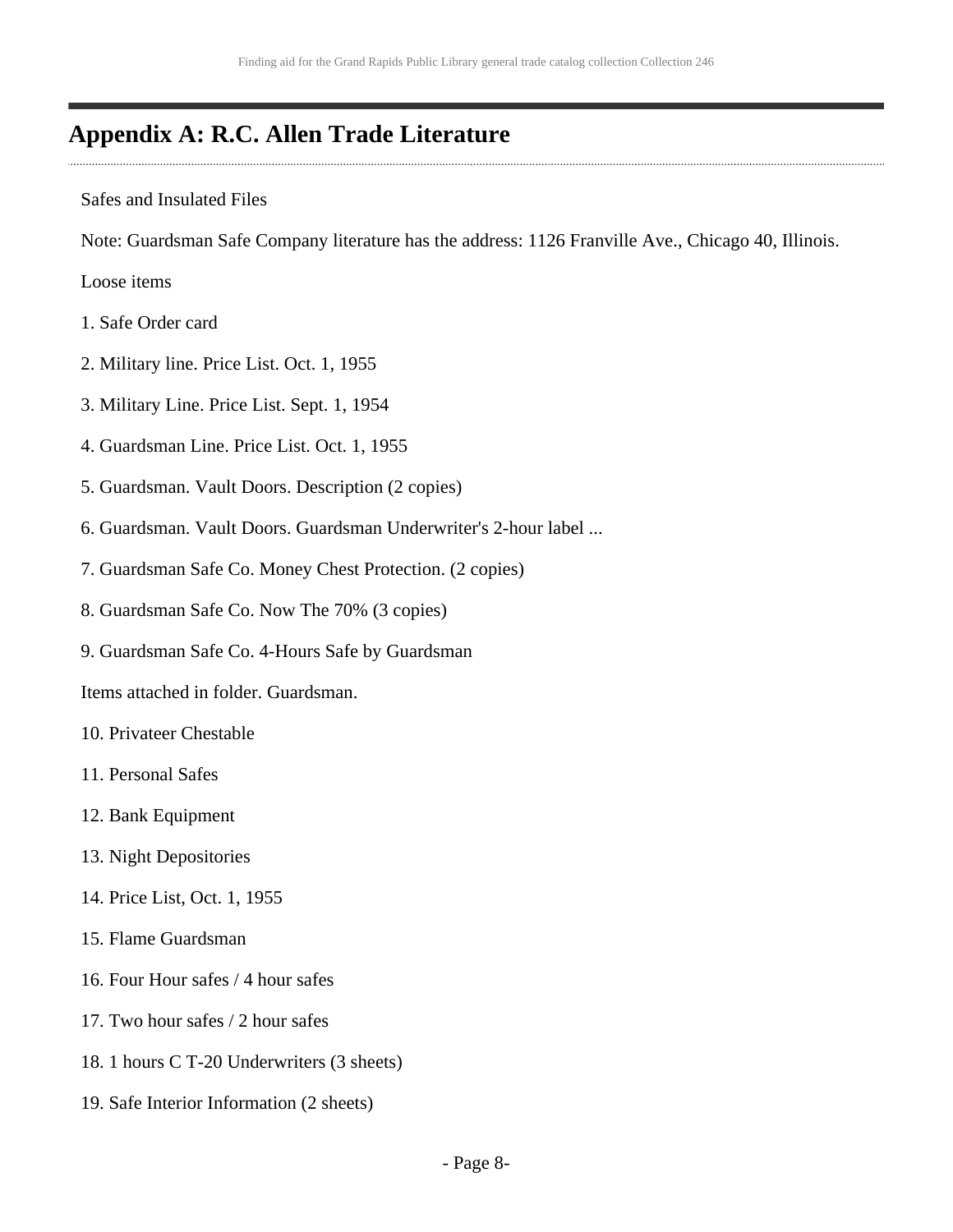# <span id="page-7-0"></span>**Appendix A: R.C. Allen Trade Literature**

Safes and Insulated Files

Note: Guardsman Safe Company literature has the address: 1126 Franville Ave., Chicago 40, Illinois.

Loose items

- 1. Safe Order card
- 2. Military line. Price List. Oct. 1, 1955
- 3. Military Line. Price List. Sept. 1, 1954
- 4. Guardsman Line. Price List. Oct. 1, 1955
- 5. Guardsman. Vault Doors. Description (2 copies)
- 6. Guardsman. Vault Doors. Guardsman Underwriter's 2-hour label ...
- 7. Guardsman Safe Co. Money Chest Protection. (2 copies)
- 8. Guardsman Safe Co. Now The 70% (3 copies)
- 9. Guardsman Safe Co. 4-Hours Safe by Guardsman

Items attached in folder. Guardsman.

- 10. Privateer Chestable
- 11. Personal Safes
- 12. Bank Equipment
- 13. Night Depositories
- 14. Price List, Oct. 1, 1955
- 15. Flame Guardsman
- 16. Four Hour safes / 4 hour safes
- 17. Two hour safes / 2 hour safes
- 18. 1 hours C T-20 Underwriters (3 sheets)
- 19. Safe Interior Information (2 sheets)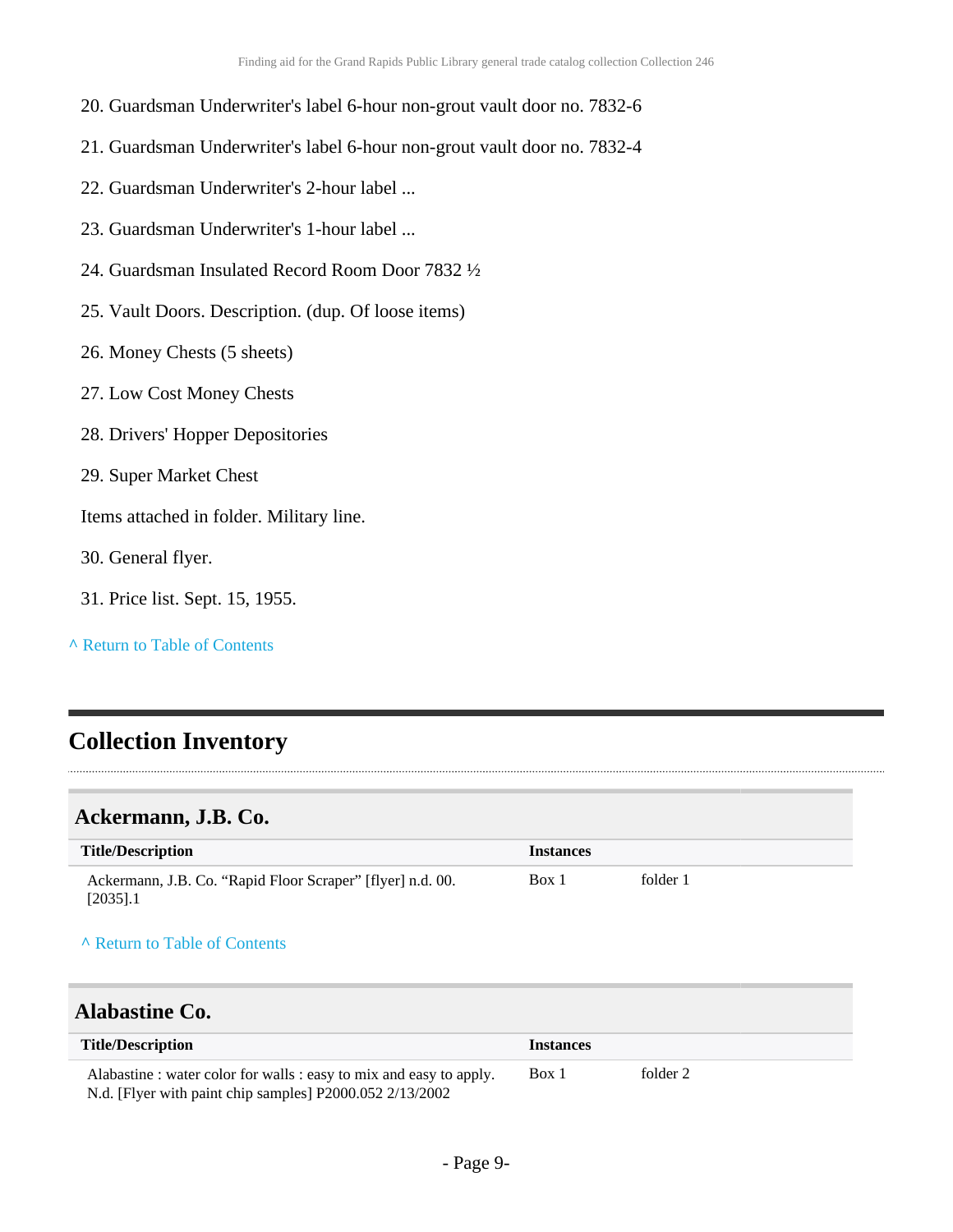- 20. Guardsman Underwriter's label 6-hour non-grout vault door no. 7832-6
- 21. Guardsman Underwriter's label 6-hour non-grout vault door no. 7832-4
- 22. Guardsman Underwriter's 2-hour label ...
- 23. Guardsman Underwriter's 1-hour label ...
- 24. Guardsman Insulated Record Room Door 7832 ½
- 25. Vault Doors. Description. (dup. Of loose items)
- 26. Money Chests (5 sheets)
- 27. Low Cost Money Chests
- 28. Drivers' Hopper Depositories
- 29. Super Market Chest

Items attached in folder. Military line.

- 30. General flyer.
- 31. Price list. Sept. 15, 1955.
- **^** [Return to Table of Contents](#page-1-0)

# <span id="page-8-0"></span>**Collection Inventory**

### <span id="page-8-1"></span>**Ackermann, J.B. Co.**

| <b>Title/Description</b>                                                  | <b>Instances</b> |          |
|---------------------------------------------------------------------------|------------------|----------|
| Ackermann, J.B. Co. "Rapid Floor Scraper" [flyer] n.d. 00.<br>$[2035]$ .1 | Box 1            | folder 1 |

#### **^** [Return to Table of Contents](#page-1-0)

### <span id="page-8-2"></span>**Alabastine Co.**

| <b>Title/Description</b>                                          | <i>Instances</i> |          |
|-------------------------------------------------------------------|------------------|----------|
| Alabastine: water color for walls: easy to mix and easy to apply. | Box 1            | folder 2 |
| N.d. [Flyer with paint chip samples] P2000.052 2/13/2002          |                  |          |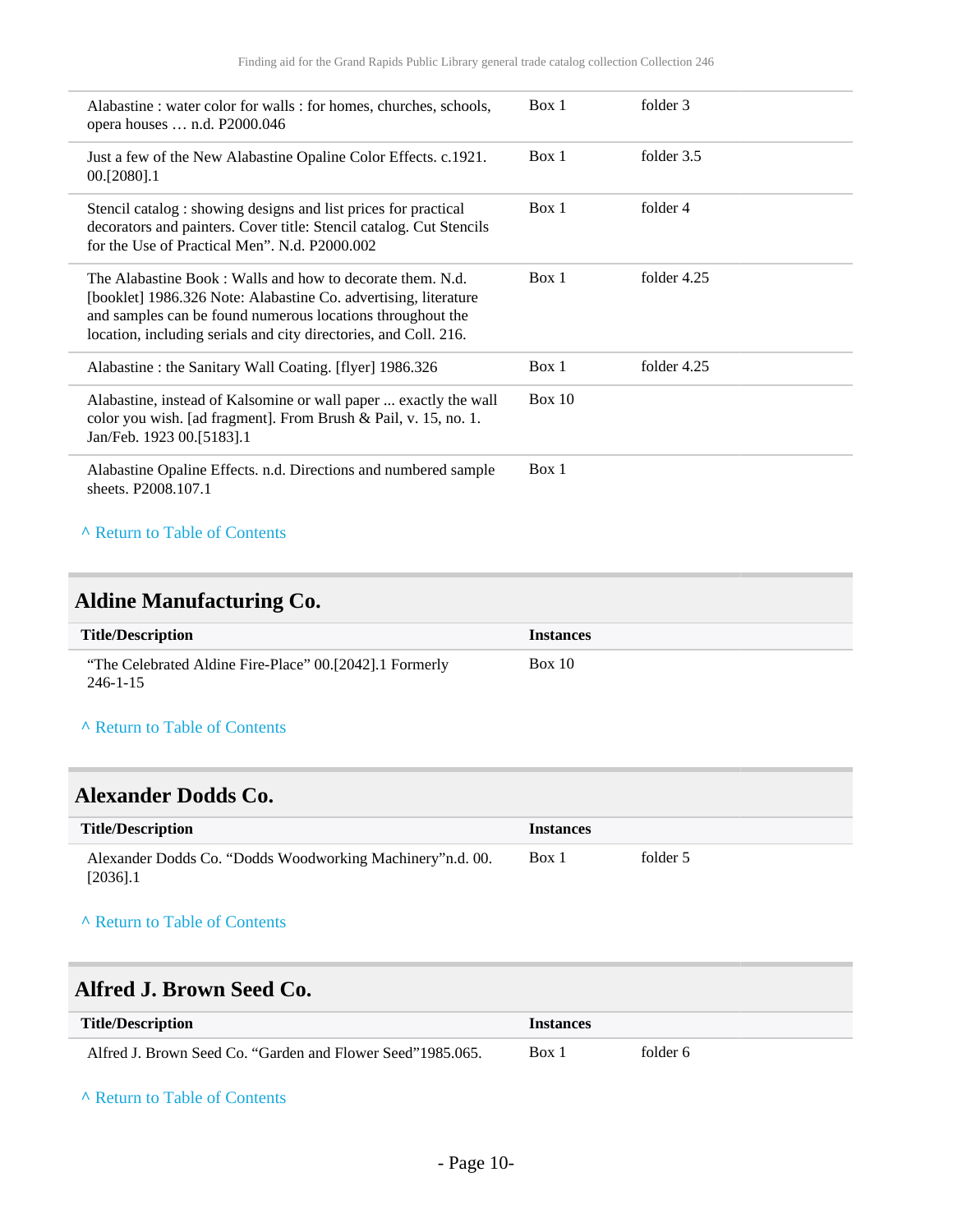| Alabastine: water color for walls: for homes, churches, schools,<br>opera houses  n.d. P2000.046                                                                                                                                                               | Box 1  | folder 3    |
|----------------------------------------------------------------------------------------------------------------------------------------------------------------------------------------------------------------------------------------------------------------|--------|-------------|
| Just a few of the New Alabastine Opaline Color Effects. c.1921.<br>00.[2080].1                                                                                                                                                                                 | Box 1  | folder 3.5  |
| Stencil catalog: showing designs and list prices for practical<br>decorators and painters. Cover title: Stencil catalog. Cut Stencils<br>for the Use of Practical Men". N.d. P2000.002                                                                         | Box 1  | folder 4    |
| The Alabastine Book: Walls and how to decorate them. N.d.<br>[booklet] 1986.326 Note: Alabastine Co. advertising, literature<br>and samples can be found numerous locations throughout the<br>location, including serials and city directories, and Coll. 216. | Box 1  | folder 4.25 |
| Alabastine: the Sanitary Wall Coating. [flyer] 1986.326                                                                                                                                                                                                        | Box 1  | folder 4.25 |
| Alabastine, instead of Kalsomine or wall paper  exactly the wall<br>color you wish. [ad fragment]. From Brush & Pail, v. 15, no. 1.<br>Jan/Feb. 1923 00.[5183].1                                                                                               | Box 10 |             |
| Alabastine Opaline Effects. n.d. Directions and numbered sample<br>sheets. P2008.107.1                                                                                                                                                                         | Box 1  |             |
| A Return to Table of Contents                                                                                                                                                                                                                                  |        |             |

# <span id="page-9-0"></span>**Aldine Manufacturing Co.**

| <b>Title/Description</b>                                                  | <b>Instances</b> |
|---------------------------------------------------------------------------|------------------|
| "The Celebrated Aldine Fire-Place" 00.[2042].1 Formerly<br>$246 - 1 - 15$ | Box 10           |

### **^** [Return to Table of Contents](#page-1-0)

### <span id="page-9-1"></span>**Alexander Dodds Co.**

| <b>Title/Description</b>                                                  | <i>Instances</i> |          |
|---------------------------------------------------------------------------|------------------|----------|
| Alexander Dodds Co. "Dodds Woodworking Machinery" n.d. 00.<br>$[2036]$ .1 | Box 1            | folder 5 |

### **^** [Return to Table of Contents](#page-1-0)

## <span id="page-9-2"></span>**Alfred J. Brown Seed Co.**

| <b>Title/Description</b>                                   | <b>Instances</b> |          |
|------------------------------------------------------------|------------------|----------|
| Alfred J. Brown Seed Co. "Garden and Flower Seed"1985.065. | Box 1            | folder 6 |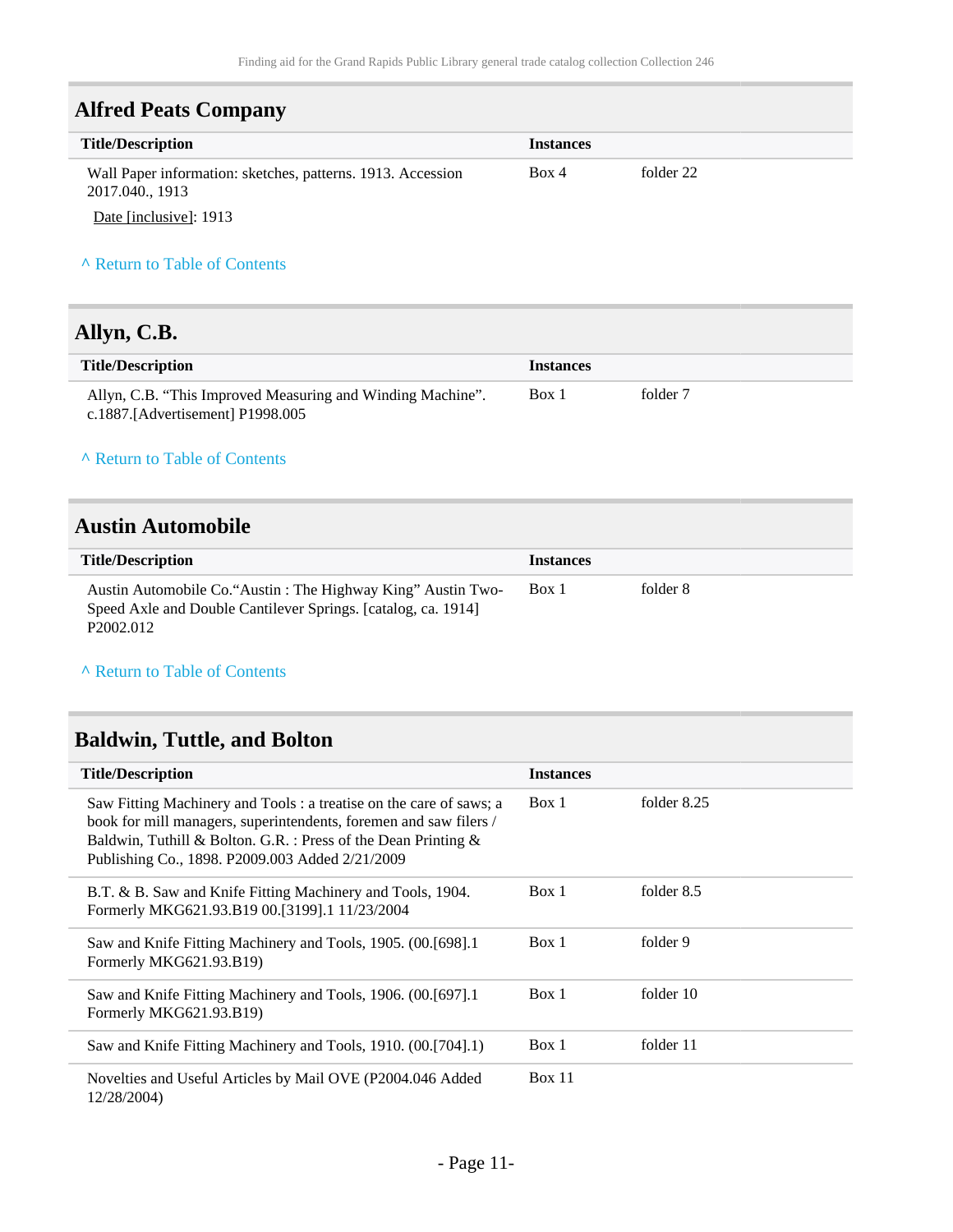## <span id="page-10-0"></span>**Alfred Peats Company**

| <b>Title/Description</b>                                                                                                                                                                                                                                                                                                           | <b>Instances</b> |           |  |
|------------------------------------------------------------------------------------------------------------------------------------------------------------------------------------------------------------------------------------------------------------------------------------------------------------------------------------|------------------|-----------|--|
| Wall Paper information: sketches, patterns. 1913. Accession<br>2017.040., 1913                                                                                                                                                                                                                                                     | Box 4            | folder 22 |  |
| $\mathbf{r}$ $\mathbf{r}$ $\mathbf{r}$ $\mathbf{r}$ $\mathbf{r}$ $\mathbf{r}$ $\mathbf{r}$ $\mathbf{r}$ $\mathbf{r}$ $\mathbf{r}$ $\mathbf{r}$ $\mathbf{r}$ $\mathbf{r}$ $\mathbf{r}$ $\mathbf{r}$ $\mathbf{r}$ $\mathbf{r}$ $\mathbf{r}$ $\mathbf{r}$ $\mathbf{r}$ $\mathbf{r}$ $\mathbf{r}$ $\mathbf{r}$ $\mathbf{r}$ $\mathbf{$ |                  |           |  |

Date [inclusive]: 1913

### **^** [Return to Table of Contents](#page-1-0)

# <span id="page-10-1"></span>**Allyn, C.B.**

| <b>Title/Description</b>                                   | <i><u><b>Instances</b></u></i> |          |
|------------------------------------------------------------|--------------------------------|----------|
| Allyn, C.B. "This Improved Measuring and Winding Machine". | Box 1                          | folder 7 |
| c.1887.[Advertisement] $P1998.005$                         |                                |          |

### **^** [Return to Table of Contents](#page-1-0)

### <span id="page-10-2"></span>**Austin Automobile**

| <b>Title/Description</b>                                                                                                                               | <i>Instances</i> |          |
|--------------------------------------------------------------------------------------------------------------------------------------------------------|------------------|----------|
| Austin Automobile Co. "Austin: The Highway King" Austin Two-<br>Speed Axle and Double Cantilever Springs. [catalog, ca. 1914]<br>P <sub>2002.012</sub> | Box 1            | folder 8 |

#### **^** [Return to Table of Contents](#page-1-0)

# <span id="page-10-3"></span>**Baldwin, Tuttle, and Bolton**

| <b>Title/Description</b>                                                                                                                                                                                                                                      | <b>Instances</b> |             |
|---------------------------------------------------------------------------------------------------------------------------------------------------------------------------------------------------------------------------------------------------------------|------------------|-------------|
| Saw Fitting Machinery and Tools : a treatise on the care of saws; a<br>book for mill managers, superintendents, foremen and saw filers /<br>Baldwin, Tuthill & Bolton. G.R. : Press of the Dean Printing &<br>Publishing Co., 1898. P2009.003 Added 2/21/2009 | Box 1            | folder 8.25 |
| B.T. & B. Saw and Knife Fitting Machinery and Tools, 1904.<br>Formerly MKG621.93.B19 00.[3199].1 11/23/2004                                                                                                                                                   | Box 1            | folder 8.5  |
| Saw and Knife Fitting Machinery and Tools, 1905. (00.[698].1<br>Formerly MKG621.93.B19)                                                                                                                                                                       | Box 1            | folder 9    |
| Saw and Knife Fitting Machinery and Tools, 1906. (00.[697].1<br>Formerly MKG621.93.B19)                                                                                                                                                                       | Box 1            | folder 10   |
| Saw and Knife Fitting Machinery and Tools, 1910. (00.[704].1)                                                                                                                                                                                                 | Box 1            | folder 11   |
| Novelties and Useful Articles by Mail OVE (P2004.046 Added<br>12/28/2004)                                                                                                                                                                                     | Box 11           |             |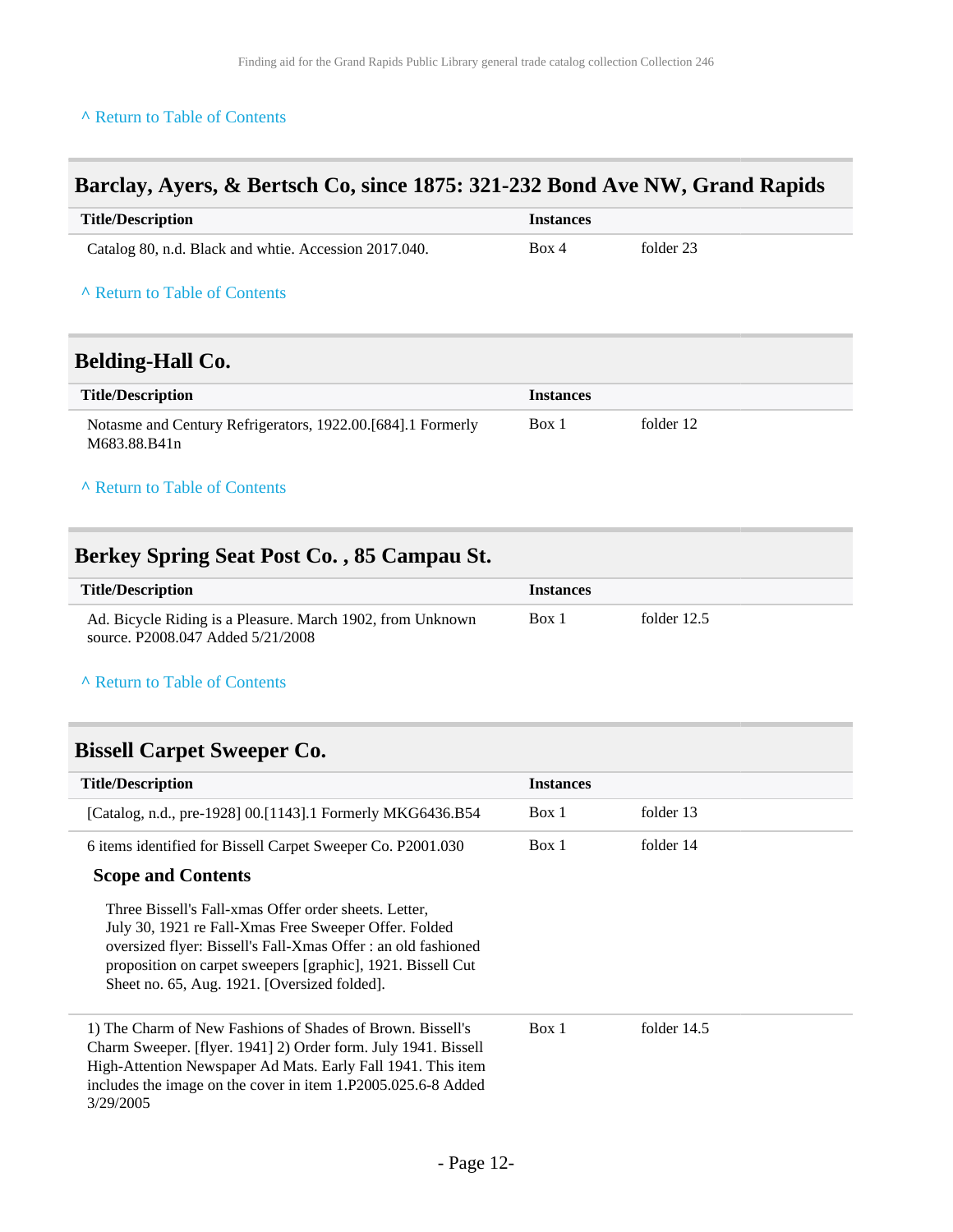# <span id="page-11-0"></span>**Barclay, Ayers, & Bertsch Co, since 1875: 321-232 Bond Ave NW, Grand Rapids**

<span id="page-11-1"></span>

| <b>Title/Description</b>                                                    | <b>Instances</b> |           |
|-----------------------------------------------------------------------------|------------------|-----------|
| Catalog 80, n.d. Black and whtie. Accession 2017.040.                       | Box 4            | folder 23 |
| A Return to Table of Contents                                               |                  |           |
| <b>Belding-Hall Co.</b>                                                     |                  |           |
| <b>Title/Description</b>                                                    | <b>Instances</b> |           |
| Notasme and Century Refrigerators, 1922.00.[684].1 Formerly<br>M683.88.B41n | Box 1            | folder 12 |
| A Return to Table of Contents                                               |                  |           |

# <span id="page-11-2"></span>**Berkey Spring Seat Post Co. , 85 Campau St.**

| <b>Title/Description</b>                                   | Instances |               |
|------------------------------------------------------------|-----------|---------------|
| Ad. Bicycle Riding is a Pleasure. March 1902, from Unknown | Box 1     | folder $12.5$ |
| source, P2008.047 Added 5/21/2008                          |           |               |

#### **^** [Return to Table of Contents](#page-1-0)

### <span id="page-11-3"></span>**Bissell Carpet Sweeper Co.**

| <b>Title/Description</b>                                                                                                                                                                                                                                                                       | <b>Instances</b> |               |
|------------------------------------------------------------------------------------------------------------------------------------------------------------------------------------------------------------------------------------------------------------------------------------------------|------------------|---------------|
| [Catalog, n.d., pre-1928] 00.[1143].1 Formerly MKG6436.B54                                                                                                                                                                                                                                     | Box 1            | folder 13     |
| 6 items identified for Bissell Carpet Sweeper Co. P2001.030                                                                                                                                                                                                                                    | Box 1            | folder 14     |
| <b>Scope and Contents</b>                                                                                                                                                                                                                                                                      |                  |               |
| Three Bissell's Fall-xmas Offer order sheets. Letter,<br>July 30, 1921 re Fall-Xmas Free Sweeper Offer. Folded<br>oversized flyer: Bissell's Fall-Xmas Offer : an old fashioned<br>proposition on carpet sweepers [graphic], 1921. Bissell Cut<br>Sheet no. 65, Aug. 1921. [Oversized folded]. |                  |               |
| 1) The Charm of New Fashions of Shades of Brown. Bissell's<br>Charm Sweeper. [flyer. 1941] 2) Order form. July 1941. Bissell<br>High-Attention Newspaper Ad Mats. Early Fall 1941. This item<br>includes the image on the cover in item 1.P2005.025.6-8 Added<br>3/29/2005                     | Box 1            | folder $14.5$ |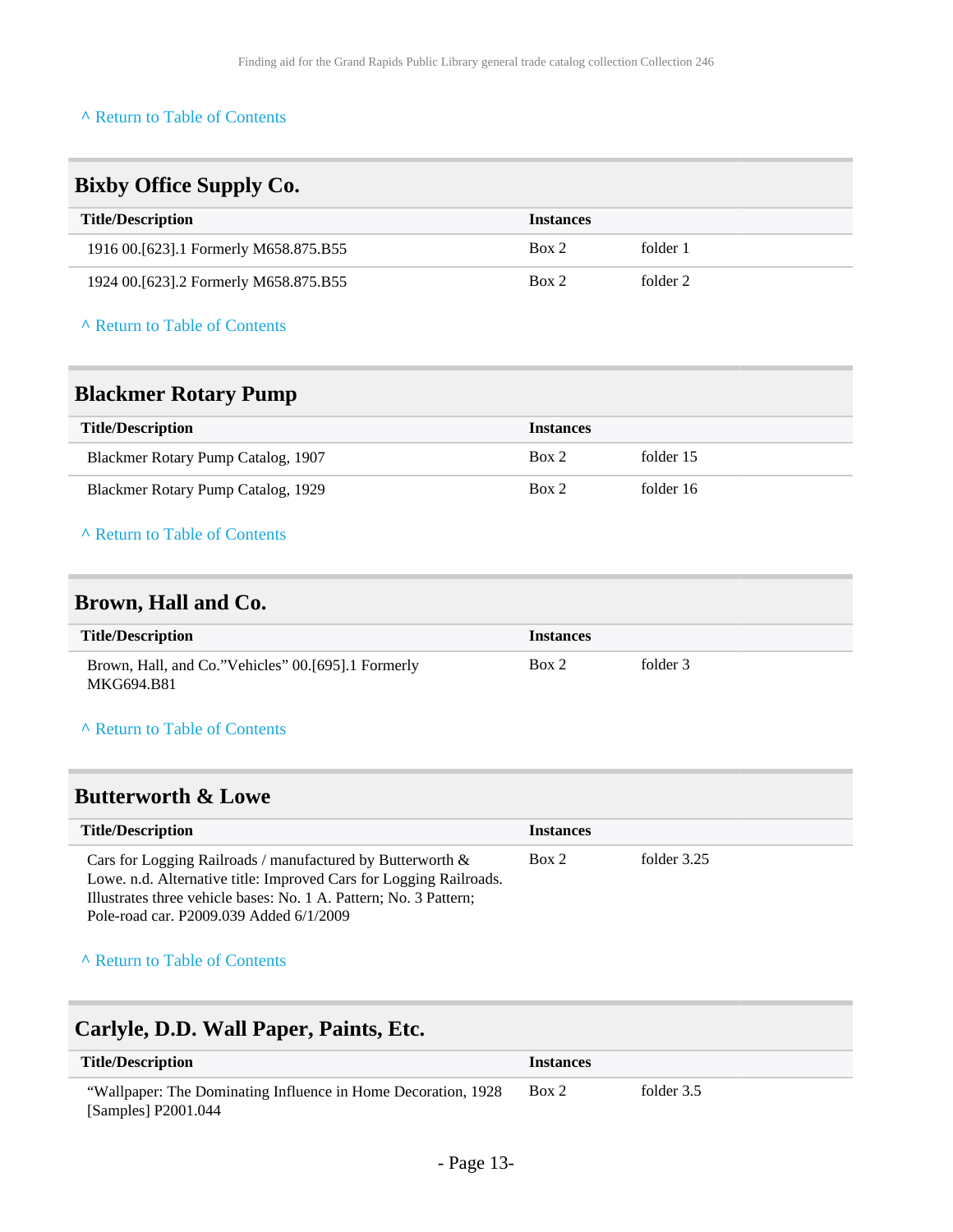<span id="page-12-1"></span><span id="page-12-0"></span>

| <b>Bixby Office Supply Co.</b>                                                                                                                                                                                                                   |                  |             |  |
|--------------------------------------------------------------------------------------------------------------------------------------------------------------------------------------------------------------------------------------------------|------------------|-------------|--|
| <b>Title/Description</b>                                                                                                                                                                                                                         | <b>Instances</b> |             |  |
| 1916 00.[623].1 Formerly M658.875.B55                                                                                                                                                                                                            | Box 2            | folder 1    |  |
| 1924 00.[623].2 Formerly M658.875.B55                                                                                                                                                                                                            | Box 2            | folder 2    |  |
| A Return to Table of Contents                                                                                                                                                                                                                    |                  |             |  |
| <b>Blackmer Rotary Pump</b>                                                                                                                                                                                                                      |                  |             |  |
| <b>Title/Description</b>                                                                                                                                                                                                                         | <b>Instances</b> |             |  |
| Blackmer Rotary Pump Catalog, 1907                                                                                                                                                                                                               | Box 2            | folder 15   |  |
| Blackmer Rotary Pump Catalog, 1929                                                                                                                                                                                                               | Box 2            | folder 16   |  |
| A Return to Table of Contents                                                                                                                                                                                                                    |                  |             |  |
| Brown, Hall and Co.                                                                                                                                                                                                                              |                  |             |  |
| <b>Title/Description</b>                                                                                                                                                                                                                         | <b>Instances</b> |             |  |
| Brown, Hall, and Co."Vehicles" 00.[695].1 Formerly<br>MKG694.B81                                                                                                                                                                                 | Box 2            | folder 3    |  |
| A Return to Table of Contents                                                                                                                                                                                                                    |                  |             |  |
| <b>Butterworth &amp; Lowe</b>                                                                                                                                                                                                                    |                  |             |  |
| <b>Title/Description</b>                                                                                                                                                                                                                         | <b>Instances</b> |             |  |
| Cars for Logging Railroads / manufactured by Butterworth &<br>Lowe. n.d. Alternative title: Improved Cars for Logging Railroads.<br>Illustrates three vehicle bases: No. 1 A. Pattern; No. 3 Pattern;<br>Pole-road car. P2009.039 Added 6/1/2009 | Box 2            | folder 3.25 |  |
| A Return to Table of Contents                                                                                                                                                                                                                    |                  |             |  |

# <span id="page-12-4"></span><span id="page-12-3"></span><span id="page-12-2"></span>**Carlyle, D.D. Wall Paper, Paints, Etc.**

| <b>Title/Description</b>                                                             | <i>Instances</i> |            |
|--------------------------------------------------------------------------------------|------------------|------------|
| "Wallpaper: The Dominating Influence in Home Decoration, 1928<br>[Samples] P2001.044 | Box 2            | folder 3.5 |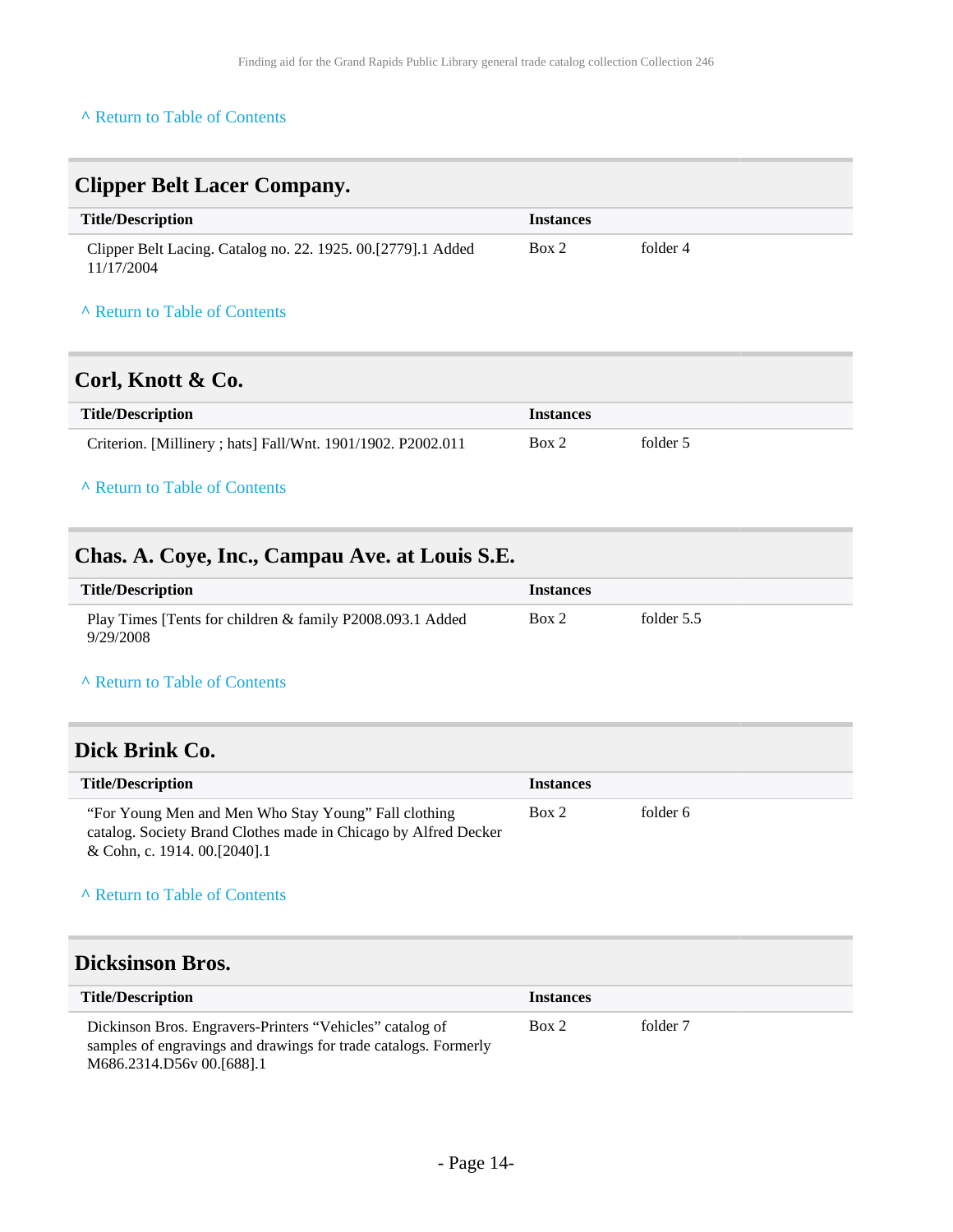<span id="page-13-0"></span>

| <b>Clipper Belt Lacer Company.</b>                                         |                  |          |  |
|----------------------------------------------------------------------------|------------------|----------|--|
| <b>Title/Description</b>                                                   | <b>Instances</b> |          |  |
| Clipper Belt Lacing. Catalog no. 22. 1925. 00.[2779].1 Added<br>11/17/2004 | Box 2            | folder 4 |  |
| A Return to Table of Contents                                              |                  |          |  |

# <span id="page-13-1"></span>**Corl, Knott & Co.**

| <b>Title/Description</b>                                     | <i>Instances</i> |          |
|--------------------------------------------------------------|------------------|----------|
| Criterion. [Millinery ; hats] Fall/Wnt. 1901/1902. P2002.011 | Box 2            | folder 5 |

### **^** [Return to Table of Contents](#page-1-0)

# <span id="page-13-2"></span>**Chas. A. Coye, Inc., Campau Ave. at Louis S.E.**

| <b>Title/Description</b>                                               | <b>Instances</b> |              |
|------------------------------------------------------------------------|------------------|--------------|
| Play Times [Tents for children & family P2008.093.1 Added<br>9/29/2008 | Box 2            | folder $5.5$ |

#### **^** [Return to Table of Contents](#page-1-0)

## <span id="page-13-3"></span>**Dick Brink Co.**

| <b>Title/Description</b>                                                                                                                                  | <b>Instances</b> |          |
|-----------------------------------------------------------------------------------------------------------------------------------------------------------|------------------|----------|
| "For Young Men and Men Who Stay Young" Fall clothing<br>catalog. Society Brand Clothes made in Chicago by Alfred Decker<br>& Cohn, c. 1914. 00. [2040]. 1 | Box 2            | folder 6 |

### **^** [Return to Table of Contents](#page-1-0)

## <span id="page-13-4"></span>**Dicksinson Bros.**

| <b>Title/Description</b>                                                                                                                                 | <b>Instances</b> |          |
|----------------------------------------------------------------------------------------------------------------------------------------------------------|------------------|----------|
| Dickinson Bros. Engravers-Printers "Vehicles" catalog of<br>samples of engravings and drawings for trade catalogs. Formerly<br>M686.2314.D56v 00.[688].1 | Box 2            | folder 7 |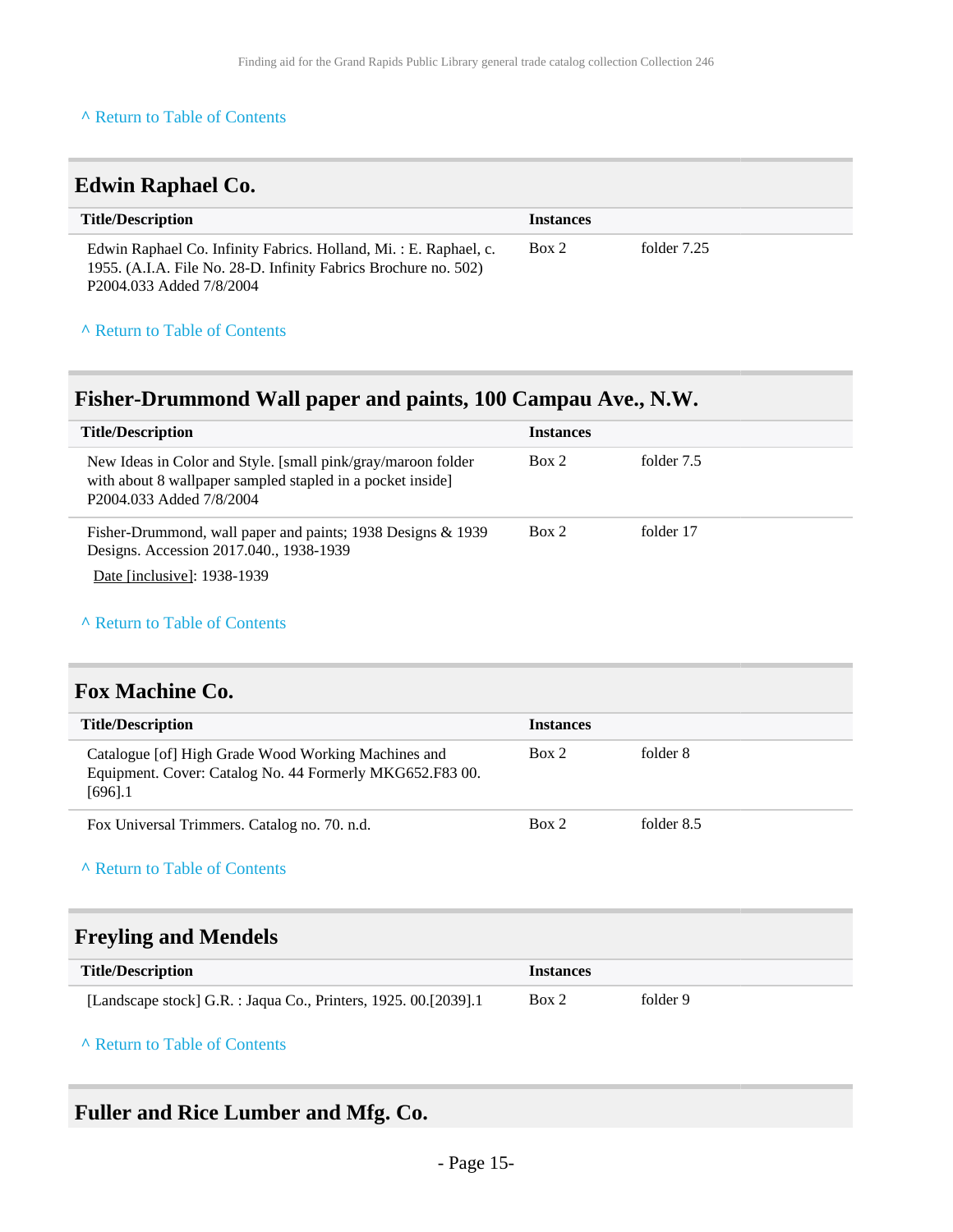<span id="page-14-0"></span>

| <b>Edwin Raphael Co.</b>                                                                                                                                        |                  |             |
|-----------------------------------------------------------------------------------------------------------------------------------------------------------------|------------------|-------------|
| <b>Title/Description</b>                                                                                                                                        | <b>Instances</b> |             |
| Edwin Raphael Co. Infinity Fabrics. Holland, Mi.: E. Raphael, c.<br>1955. (A.I.A. File No. 28-D. Infinity Fabrics Brochure no. 502)<br>P2004.033 Added 7/8/2004 | Box 2            | folder 7.25 |

### **^** [Return to Table of Contents](#page-1-0)

# <span id="page-14-1"></span>**Fisher-Drummond Wall paper and paints, 100 Campau Ave., N.W.**

| <b>Title/Description</b>                                                                                                                               | <b>Instances</b> |            |
|--------------------------------------------------------------------------------------------------------------------------------------------------------|------------------|------------|
| New Ideas in Color and Style. [small pink/gray/maroon folder<br>with about 8 wallpaper sampled stapled in a pocket inside]<br>P2004.033 Added 7/8/2004 | Box 2            | folder 7.5 |
| Fisher-Drummond, wall paper and paints; 1938 Designs & 1939<br>Designs. Accession 2017.040., 1938-1939<br>Date [inclusive]: 1938-1939                  | Box 2            | folder 17  |

#### **^** [Return to Table of Contents](#page-1-0)

## <span id="page-14-2"></span>**Fox Machine Co.**

| <b>Title/Description</b>                                                                                                      | <b>Instances</b> |            |
|-------------------------------------------------------------------------------------------------------------------------------|------------------|------------|
| Catalogue [of] High Grade Wood Working Machines and<br>Equipment. Cover: Catalog No. 44 Formerly MKG652.F83 00.<br>$[696]$ .1 | Box 2            | folder 8   |
| Fox Universal Trimmers. Catalog no. 70, n.d.                                                                                  | Box 2            | folder 8.5 |

### **^** [Return to Table of Contents](#page-1-0)

# <span id="page-14-3"></span>**Freyling and Mendels**

| Title/Description                                                 | <i>Instances</i> |          |
|-------------------------------------------------------------------|------------------|----------|
| [Landscape stock] G.R. : Jaqua Co., Printers, 1925. 00. [2039]. 1 | Box 2            | folder 9 |

### **^** [Return to Table of Contents](#page-1-0)

# <span id="page-14-4"></span>**Fuller and Rice Lumber and Mfg. Co.**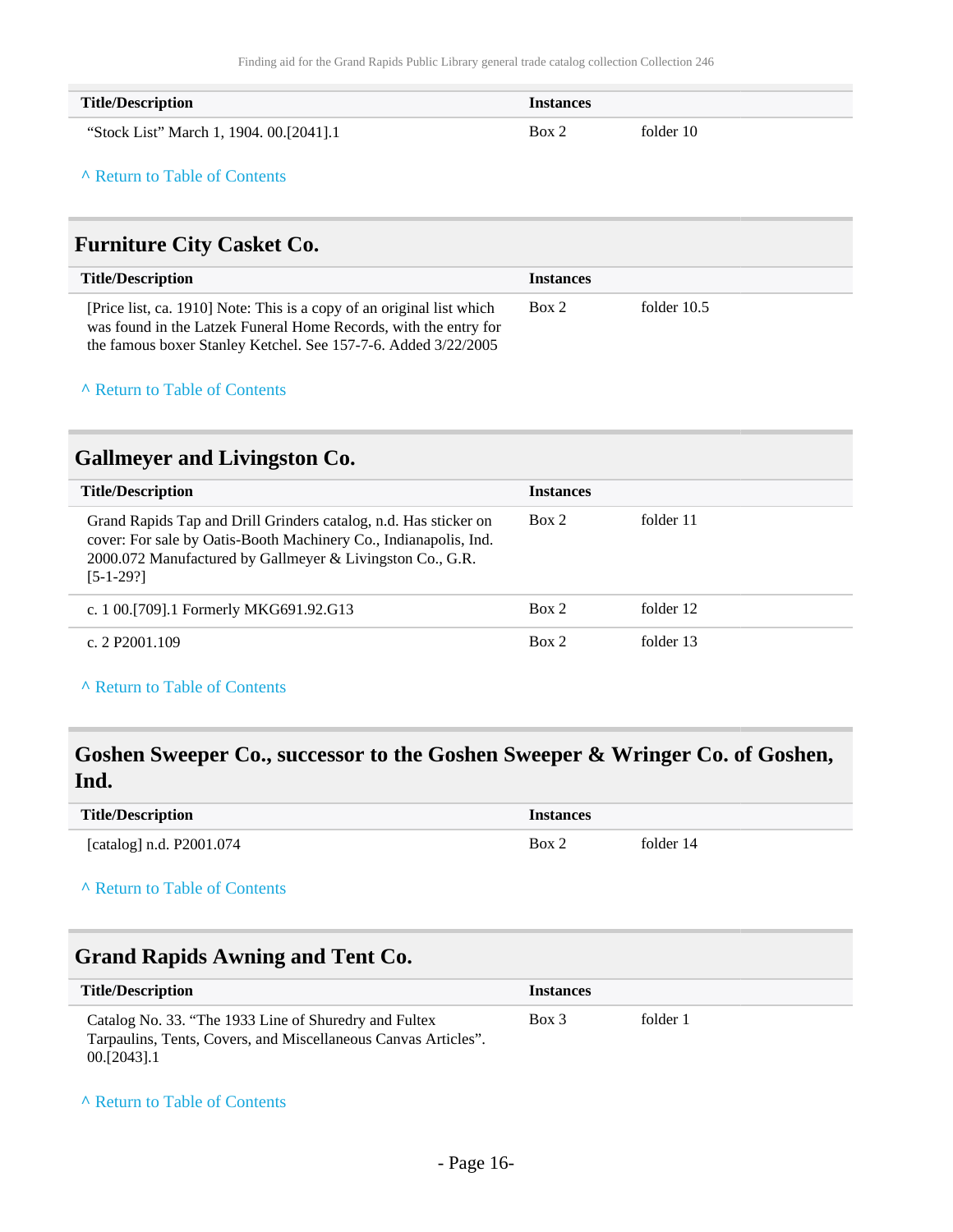| <b>Title/Description</b>                | <b>Instances</b> |           |
|-----------------------------------------|------------------|-----------|
| "Stock List" March 1, 1904. 00.[2041].1 | Box 2            | folder 10 |

# <span id="page-15-0"></span>**Furniture City Casket Co.**

| <b>Title/Description</b>                                                                                                                                                                                    | <b>Instances</b> |             |
|-------------------------------------------------------------------------------------------------------------------------------------------------------------------------------------------------------------|------------------|-------------|
| [Price list, ca. 1910] Note: This is a copy of an original list which<br>was found in the Latzek Funeral Home Records, with the entry for<br>the famous boxer Stanley Ketchel. See 157-7-6. Added 3/22/2005 | Box 2            | folder 10.5 |

### **^** [Return to Table of Contents](#page-1-0)

# <span id="page-15-1"></span>**Gallmeyer and Livingston Co.**

| <b>Title/Description</b>                                                                                                                                                                                         | <b>Instances</b> |           |
|------------------------------------------------------------------------------------------------------------------------------------------------------------------------------------------------------------------|------------------|-----------|
| Grand Rapids Tap and Drill Grinders catalog, n.d. Has sticker on<br>cover: For sale by Oatis-Booth Machinery Co., Indianapolis, Ind.<br>2000.072 Manufactured by Gallmeyer & Livingston Co., G.R.<br>$[5-1-29!]$ | Box 2            | folder 11 |
| c. 1 00. [709]. 1 Formerly MKG691.92. G13                                                                                                                                                                        | Box 2            | folder 12 |
| c. 2 P2001.109                                                                                                                                                                                                   | Box 2            | folder 13 |

**^** [Return to Table of Contents](#page-1-0)

# <span id="page-15-2"></span>**Goshen Sweeper Co., successor to the Goshen Sweeper & Wringer Co. of Goshen, Ind.**

| <b>Title/Description</b> | <b>Instances</b> |           |
|--------------------------|------------------|-----------|
| [catalog] n.d. P2001.074 | Box 2            | folder 14 |

#### **^** [Return to Table of Contents](#page-1-0)

### <span id="page-15-3"></span>**Grand Rapids Awning and Tent Co.**

| <b>Title/Description</b>                                                                                                                  | <i><u><b>Instances</b></u></i> |          |
|-------------------------------------------------------------------------------------------------------------------------------------------|--------------------------------|----------|
| Catalog No. 33. "The 1933 Line of Shuredry and Fultex<br>Tarpaulins, Tents, Covers, and Miscellaneous Canvas Articles".<br>$00.[2043]$ .1 | Box 3                          | folder 1 |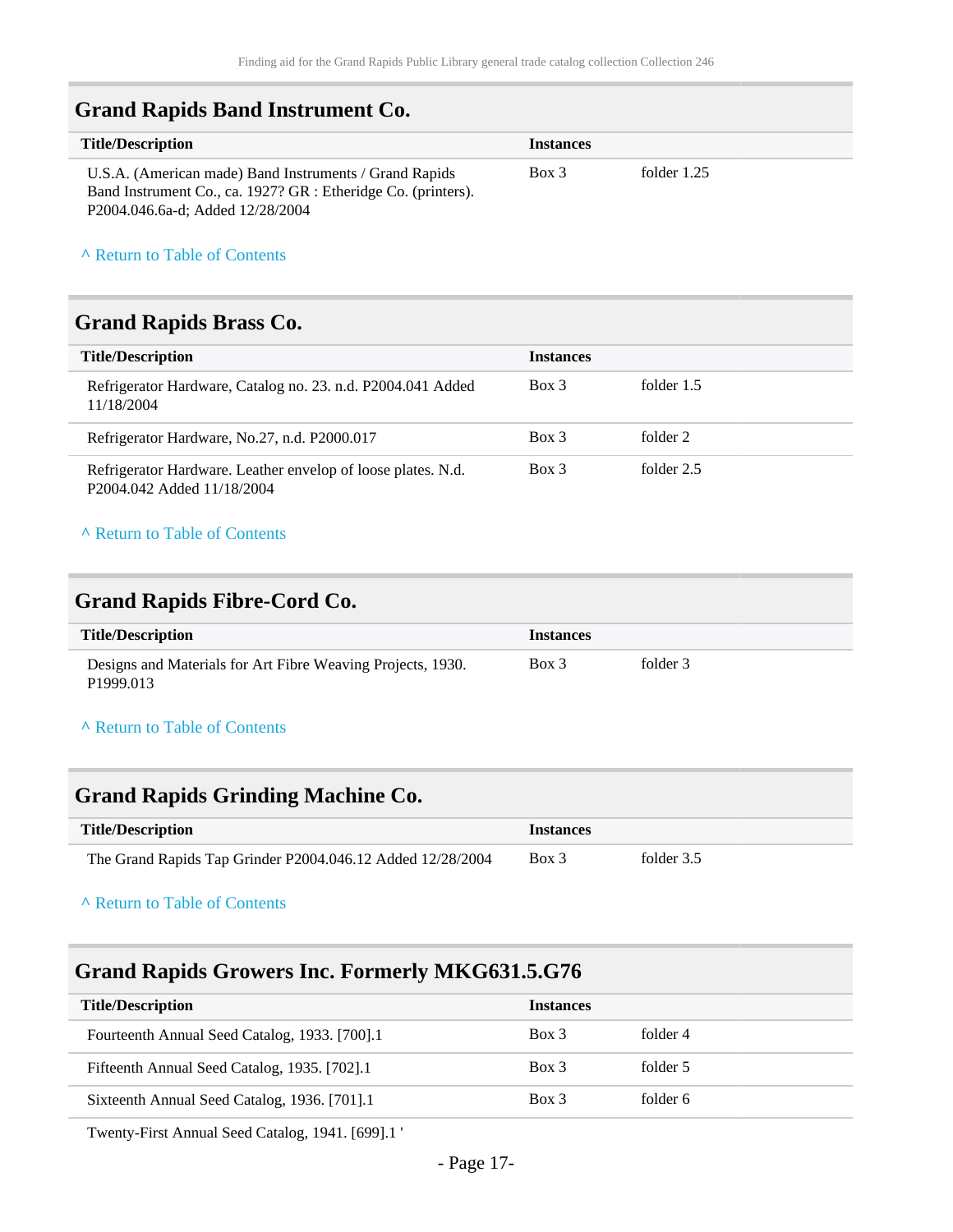### <span id="page-16-0"></span>**Grand Rapids Band Instrument Co.**

| <b>Title/Description</b>                                                                                                                                    | <b>Instances</b> |               |
|-------------------------------------------------------------------------------------------------------------------------------------------------------------|------------------|---------------|
| U.S.A. (American made) Band Instruments / Grand Rapids<br>Band Instrument Co., ca. 1927? GR : Etheridge Co. (printers).<br>P2004.046.6a-d; Added 12/28/2004 | Box 3            | folder $1.25$ |

### **^** [Return to Table of Contents](#page-1-0)

### <span id="page-16-1"></span>**Grand Rapids Brass Co.**

| <b>Title/Description</b>                                                                   | <b>Instances</b> |            |
|--------------------------------------------------------------------------------------------|------------------|------------|
| Refrigerator Hardware, Catalog no. 23. n.d. P2004.041 Added<br>11/18/2004                  | Box 3            | folder 1.5 |
| Refrigerator Hardware, No.27, n.d. P2000.017                                               | Box 3            | folder 2   |
| Refrigerator Hardware. Leather envelop of loose plates. N.d.<br>P2004.042 Added 11/18/2004 | Box 3            | folder 2.5 |

#### **^** [Return to Table of Contents](#page-1-0)

### <span id="page-16-2"></span>**Grand Rapids Fibre-Cord Co.**

| <b>Title/Description</b>                                                             | <i>Instances</i> |          |
|--------------------------------------------------------------------------------------|------------------|----------|
| Designs and Materials for Art Fibre Weaving Projects, 1930.<br>P <sub>1999.013</sub> | Box 3            | folder 3 |

### **^** [Return to Table of Contents](#page-1-0)

### <span id="page-16-3"></span>**Grand Rapids Grinding Machine Co.**

| <b>Title/Description</b>                                   | <i>Instances</i> |            |
|------------------------------------------------------------|------------------|------------|
| The Grand Rapids Tap Grinder P2004.046.12 Added 12/28/2004 | Box 3            | folder 3.5 |

### **^** [Return to Table of Contents](#page-1-0)

## <span id="page-16-4"></span>**Grand Rapids Growers Inc. Formerly MKG631.5.G76**

| <b>Title/Description</b>                      | <b>Instances</b> |          |
|-----------------------------------------------|------------------|----------|
| Fourteenth Annual Seed Catalog, 1933. [700].1 | $Box$ 3          | folder 4 |
| Fifteenth Annual Seed Catalog, 1935. [702].1  | Box 3            | folder 5 |
| Sixteenth Annual Seed Catalog, 1936. [701].1  | Box 3            | folder 6 |

Twenty-First Annual Seed Catalog, 1941. [699].1 '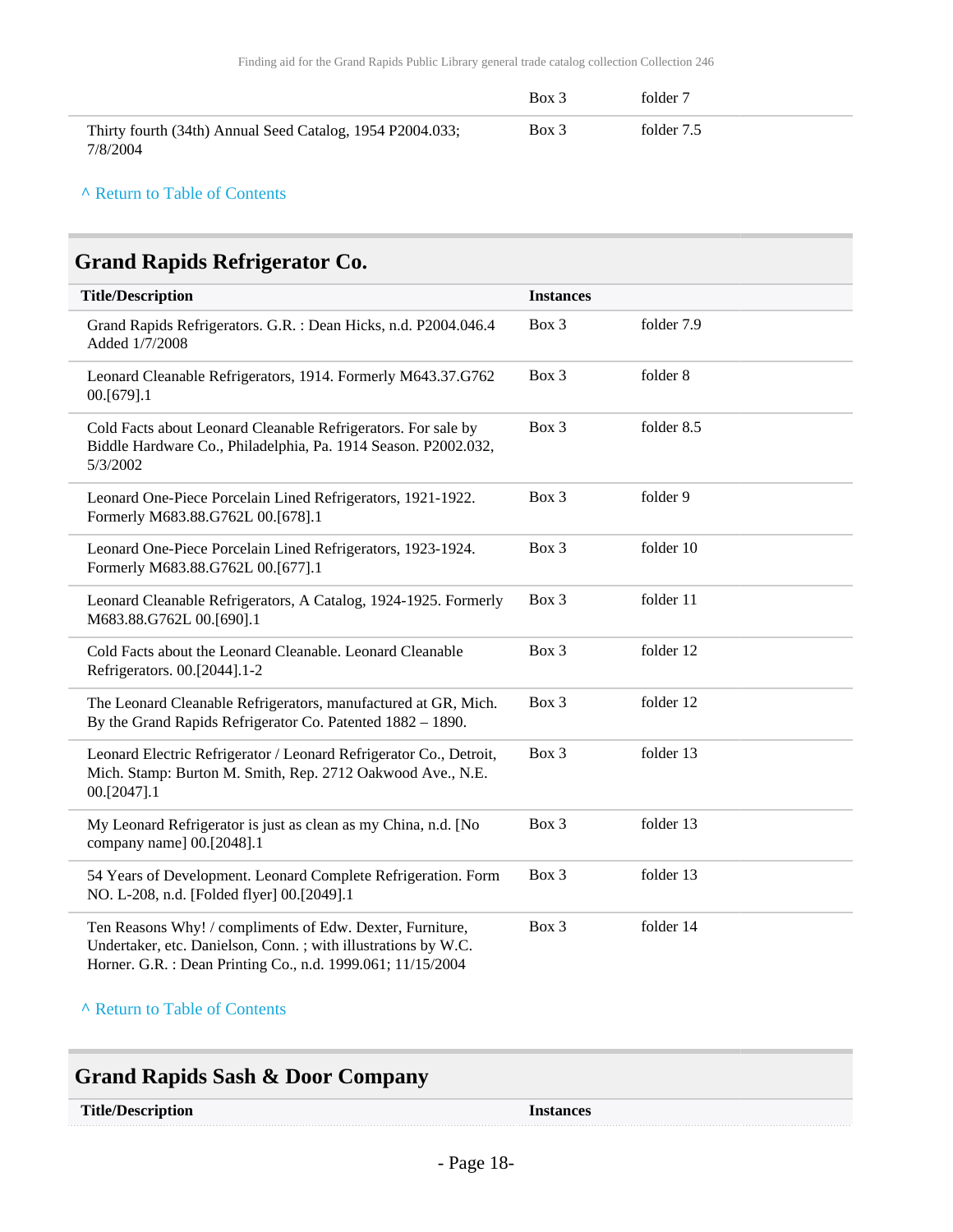|                                                                       | Box 3 | folder 7   |
|-----------------------------------------------------------------------|-------|------------|
| Thirty fourth (34th) Annual Seed Catalog, 1954 P2004.033;<br>7/8/2004 | Box 3 | folder 7.5 |

# <span id="page-17-0"></span>**Grand Rapids Refrigerator Co.**

| <b>Title/Description</b>                                                                                                                                                                  | <b>Instances</b> |            |
|-------------------------------------------------------------------------------------------------------------------------------------------------------------------------------------------|------------------|------------|
| Grand Rapids Refrigerators. G.R. : Dean Hicks, n.d. P2004.046.4<br>Added 1/7/2008                                                                                                         | Box 3            | folder 7.9 |
| Leonard Cleanable Refrigerators, 1914. Formerly M643.37.G762<br>00.[679].1                                                                                                                | Box 3            | folder 8   |
| Cold Facts about Leonard Cleanable Refrigerators. For sale by<br>Biddle Hardware Co., Philadelphia, Pa. 1914 Season. P2002.032,<br>5/3/2002                                               | Box 3            | folder 8.5 |
| Leonard One-Piece Porcelain Lined Refrigerators, 1921-1922.<br>Formerly M683.88.G762L 00.[678].1                                                                                          | Box 3            | folder 9   |
| Leonard One-Piece Porcelain Lined Refrigerators, 1923-1924.<br>Formerly M683.88.G762L 00.[677].1                                                                                          | Box 3            | folder 10  |
| Leonard Cleanable Refrigerators, A Catalog, 1924-1925. Formerly<br>M683.88.G762L 00.[690].1                                                                                               | Box 3            | folder 11  |
| Cold Facts about the Leonard Cleanable. Leonard Cleanable<br>Refrigerators. 00.[2044].1-2                                                                                                 | Box 3            | folder 12  |
| The Leonard Cleanable Refrigerators, manufactured at GR, Mich.<br>By the Grand Rapids Refrigerator Co. Patented 1882 - 1890.                                                              | Box 3            | folder 12  |
| Leonard Electric Refrigerator / Leonard Refrigerator Co., Detroit,<br>Mich. Stamp: Burton M. Smith, Rep. 2712 Oakwood Ave., N.E.<br>00.[2047].1                                           | Box 3            | folder 13  |
| My Leonard Refrigerator is just as clean as my China, n.d. [No<br>company name] 00.[2048].1                                                                                               | Box 3            | folder 13  |
| 54 Years of Development. Leonard Complete Refrigeration. Form<br>NO. L-208, n.d. [Folded flyer] 00.[2049].1                                                                               | Box 3            | folder 13  |
| Ten Reasons Why! / compliments of Edw. Dexter, Furniture,<br>Undertaker, etc. Danielson, Conn.; with illustrations by W.C.<br>Horner. G.R. : Dean Printing Co., n.d. 1999.061; 11/15/2004 | Box 3            | folder 14  |

<span id="page-17-1"></span>

| <b>Grand Rapids Sash &amp; Door Company</b> |                  |
|---------------------------------------------|------------------|
| <b>Title/Description</b>                    | <b>Instances</b> |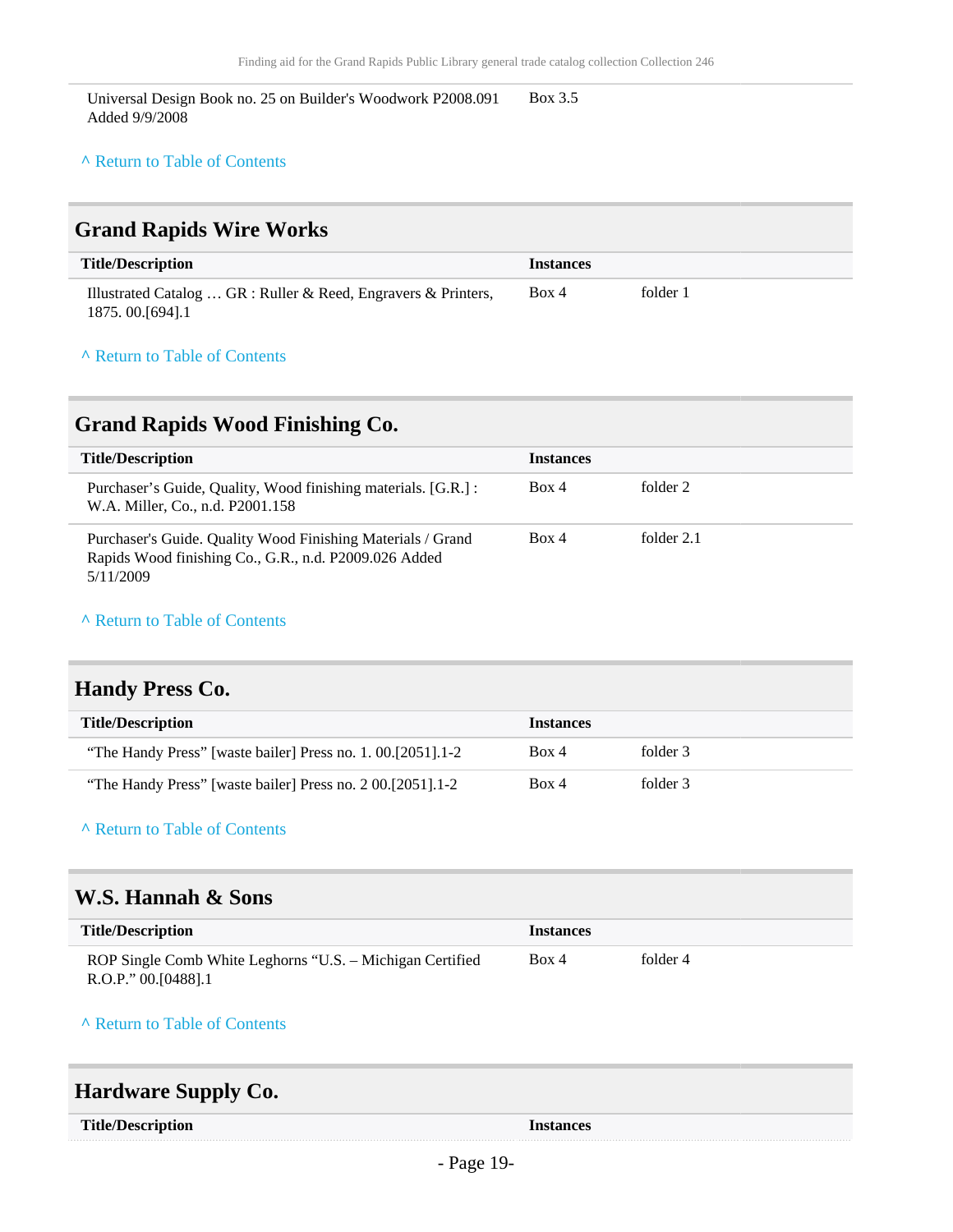Universal Design Book no. 25 on Builder's Woodwork P2008.091 Added 9/9/2008 Box 3.5

#### **^** [Return to Table of Contents](#page-1-0)

### <span id="page-18-0"></span>**Grand Rapids Wire Works**

| <b>Title/Description</b>                                                            | <i>Instances</i> |          |
|-------------------------------------------------------------------------------------|------------------|----------|
| Illustrated Catalog  GR : Ruller & Reed, Engravers & Printers,<br>1875.00. [694]. 1 | Box 4            | folder 1 |

#### **^** [Return to Table of Contents](#page-1-0)

### <span id="page-18-1"></span>**Grand Rapids Wood Finishing Co.**

| <b>Title/Description</b>                                                                                                          | <b>Instances</b> |            |
|-----------------------------------------------------------------------------------------------------------------------------------|------------------|------------|
| Purchaser's Guide, Quality, Wood finishing materials. [G.R.] :<br>W.A. Miller, Co., n.d. P2001.158                                | Box 4            | folder 2   |
| Purchaser's Guide. Quality Wood Finishing Materials / Grand<br>Rapids Wood finishing Co., G.R., n.d. P2009.026 Added<br>5/11/2009 | Box 4            | folder 2.1 |

#### **^** [Return to Table of Contents](#page-1-0)

### <span id="page-18-2"></span>**Handy Press Co.**

| <b>Title/Description</b>                                      | <i><u><b>Instances</b></u></i> |          |
|---------------------------------------------------------------|--------------------------------|----------|
| "The Handy Press" [waste bailer] Press no. 1. 00. [2051]. 1-2 | Box 4                          | folder 3 |
| "The Handy Press" [waste bailer] Press no. 2 00. [2051] 1-2   | Box 4                          | folder 3 |

### **^** [Return to Table of Contents](#page-1-0)

### <span id="page-18-3"></span>**W.S. Hannah & Sons**

| <b>Title/Description</b>                                  | <b>Instances</b> |          |
|-----------------------------------------------------------|------------------|----------|
| ROP Single Comb White Leghorns "U.S. - Michigan Certified | Box 4            | folder 4 |
| $R.O.P.'$ 00.[0488].1                                     |                  |          |

#### **^** [Return to Table of Contents](#page-1-0)

# <span id="page-18-4"></span>**Hardware Supply Co.**

| <b>Title/Description</b> |  |
|--------------------------|--|
|--------------------------|--|

**Title Instances**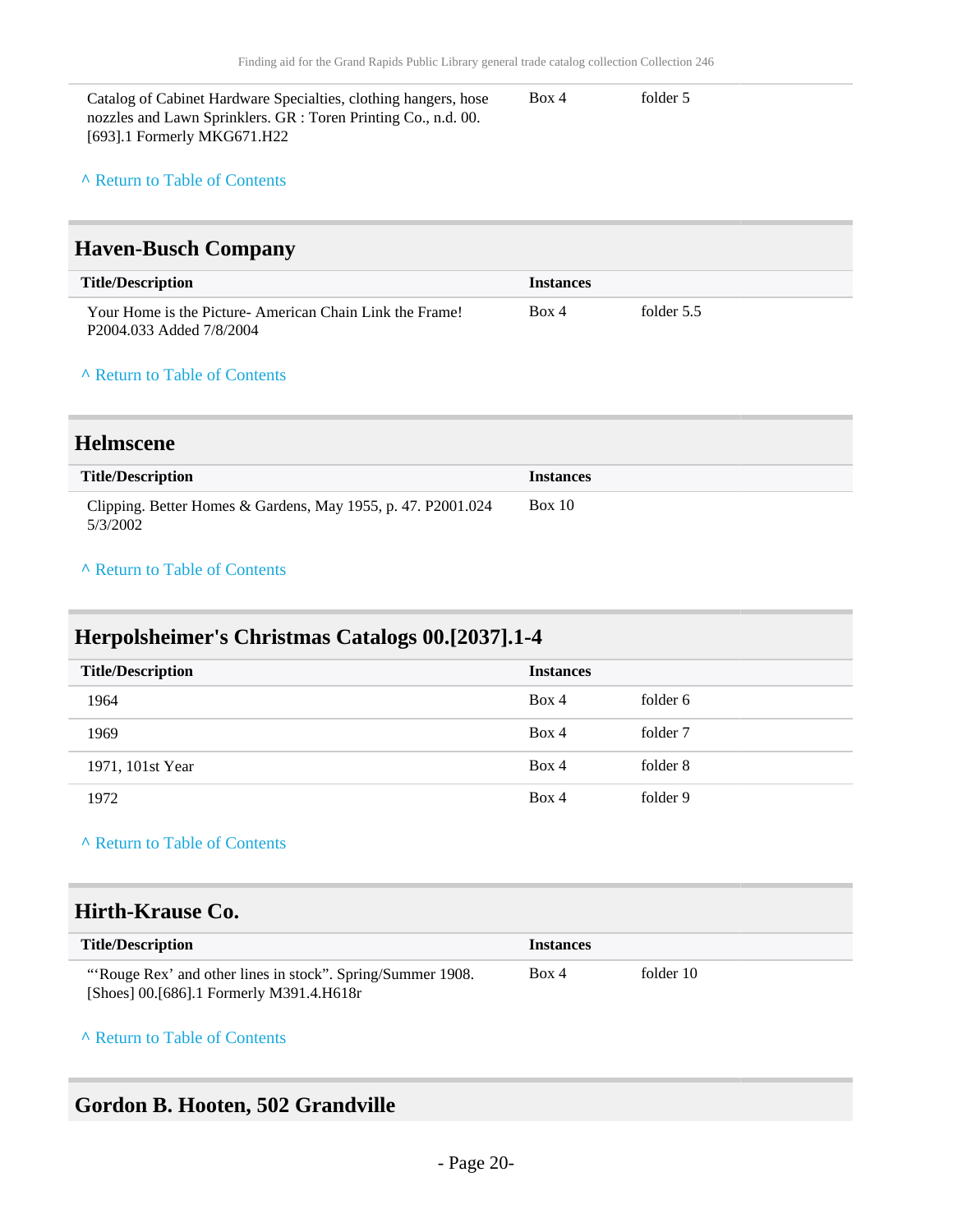| Catalog of Cabinet Hardware Specialties, clothing hangers, hose | Box 4 | folder 5 |
|-----------------------------------------------------------------|-------|----------|
| nozzles and Lawn Sprinklers. GR : Toren Printing Co., n.d. 00.  |       |          |
| [693].1 Formerly MKG671.H22                                     |       |          |

### <span id="page-19-0"></span>**Haven-Busch Company**

| <b>Title/Description</b>                                                            | <b>Instances</b> |            |
|-------------------------------------------------------------------------------------|------------------|------------|
| Your Home is the Picture-American Chain Link the Frame!<br>P2004.033 Added 7/8/2004 | Box 4            | folder 5.5 |

#### **^** [Return to Table of Contents](#page-1-0)

### <span id="page-19-1"></span>**Helmscene**

| <b>Title/Description</b>                                                 | <b>Instances</b> |
|--------------------------------------------------------------------------|------------------|
| Clipping. Better Homes & Gardens, May 1955, p. 47. P2001.024<br>5/3/2002 | Box 10           |

### **^** [Return to Table of Contents](#page-1-0)

# <span id="page-19-2"></span>**Herpolsheimer's Christmas Catalogs 00.[2037].1-4**

| <b>Title/Description</b> | <b>Instances</b> |          |
|--------------------------|------------------|----------|
| 1964                     | Box 4            | folder 6 |
| 1969                     | Box 4            | folder 7 |
| 1971, 101st Year         | Box 4            | folder 8 |
| 1972                     | Box 4            | folder 9 |

### **^** [Return to Table of Contents](#page-1-0)

### <span id="page-19-3"></span>**Hirth-Krause Co.**

| <b>Title/Description</b>                                    | <i><u><b>Instances</b></u></i> |           |
|-------------------------------------------------------------|--------------------------------|-----------|
| "'Rouge Rex' and other lines in stock". Spring/Summer 1908. | Box 4                          | folder 10 |
| [Shoes] 00.[686].1 Formerly M391.4.H618r                    |                                |           |

### **^** [Return to Table of Contents](#page-1-0)

# <span id="page-19-4"></span>**Gordon B. Hooten, 502 Grandville**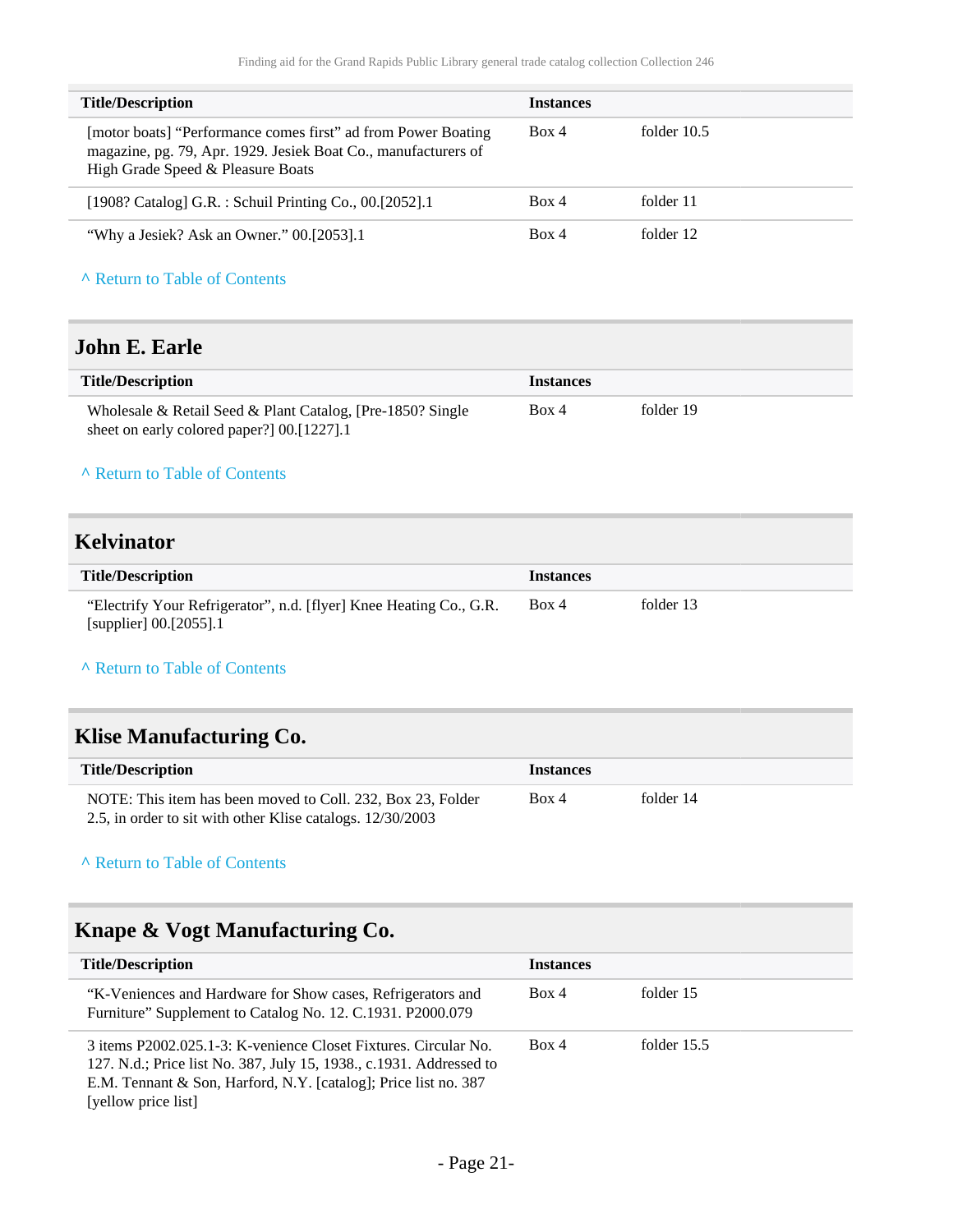| <b>Title/Description</b>                                                                                                                                             | <b>Instances</b> |               |
|----------------------------------------------------------------------------------------------------------------------------------------------------------------------|------------------|---------------|
|                                                                                                                                                                      |                  |               |
| [motor boats] "Performance comes first" ad from Power Boating<br>magazine, pg. 79, Apr. 1929. Jesiek Boat Co., manufacturers of<br>High Grade Speed & Pleasure Boats | Box 4            | folder $10.5$ |
| [1908? Catalog] G.R. : Schuil Printing Co., 00.[2052].1                                                                                                              | Box 4            | folder 11     |
| "Why a Jesiek? Ask an Owner." 00.[2053].1                                                                                                                            | Box 4            | folder 12     |

## <span id="page-20-0"></span>**John E. Earle**

| <b>Title/Description</b>                                   | <b>Instances</b> |           |
|------------------------------------------------------------|------------------|-----------|
| Wholesale & Retail Seed & Plant Catalog, [Pre-1850? Single | Box 4            | folder 19 |
| sheet on early colored paper?] 00.[1227].1                 |                  |           |

#### **^** [Return to Table of Contents](#page-1-0)

### <span id="page-20-1"></span>**Kelvinator**

| <b>Title/Description</b>                                           | <b>Instances</b> |           |
|--------------------------------------------------------------------|------------------|-----------|
| "Electrify Your Refrigerator", n.d. [flyer] Knee Heating Co., G.R. | Box 4            | folder 13 |
| [supplier] $00.[2055]$ .1                                          |                  |           |

### **^** [Return to Table of Contents](#page-1-0)

# <span id="page-20-2"></span>**Klise Manufacturing Co.**

| <b>Title/Description</b>                                    | <i>Instances</i> |           |  |
|-------------------------------------------------------------|------------------|-----------|--|
| NOTE: This item has been moved to Coll. 232, Box 23, Folder | Box 4            | folder 14 |  |
| 2.5, in order to sit with other Klise catalogs. 12/30/2003  |                  |           |  |

### **^** [Return to Table of Contents](#page-1-0)

# <span id="page-20-3"></span>**Knape & Vogt Manufacturing Co.**

| <b>Title/Description</b>                                                                                                                                                                                                         | <b>Instances</b> |               |
|----------------------------------------------------------------------------------------------------------------------------------------------------------------------------------------------------------------------------------|------------------|---------------|
| "K-Veniences and Hardware for Show cases, Refrigerators and<br>Furniture" Supplement to Catalog No. 12. C.1931. P2000.079                                                                                                        | Box 4            | folder 15     |
| 3 items P2002.025.1-3: K-venience Closet Fixtures. Circular No.<br>127. N.d.; Price list No. 387, July 15, 1938., c.1931. Addressed to<br>E.M. Tennant & Son, Harford, N.Y. [catalog]; Price list no. 387<br>[yellow price list] | Box 4            | folder $15.5$ |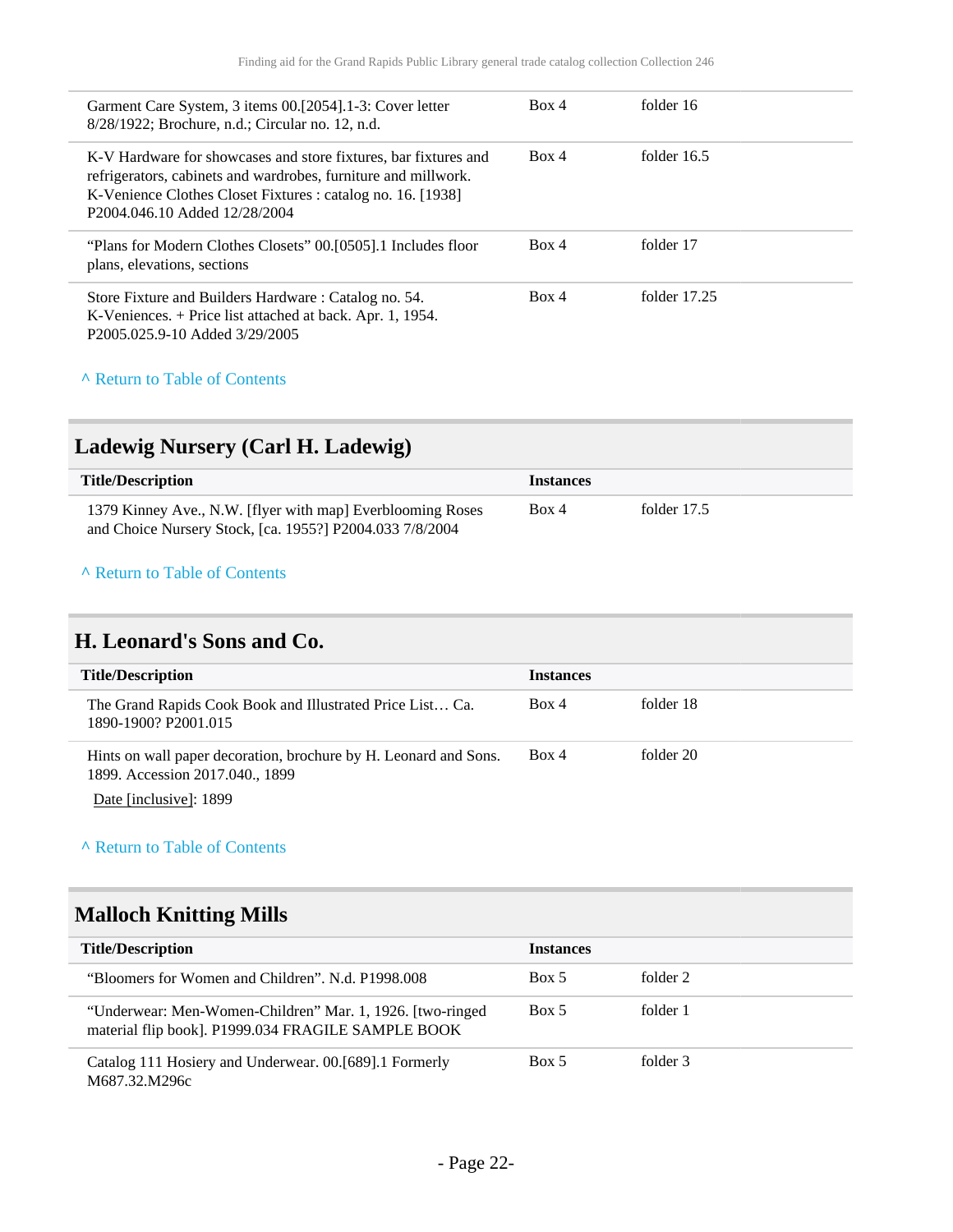| Garment Care System, 3 items 00.[2054].1-3: Cover letter<br>8/28/1922; Brochure, n.d.; Circular no. 12, n.d.                                                                                                                      | Box 4 | folder 16      |
|-----------------------------------------------------------------------------------------------------------------------------------------------------------------------------------------------------------------------------------|-------|----------------|
| K-V Hardware for showcases and store fixtures, bar fixtures and<br>refrigerators, cabinets and wardrobes, furniture and millwork.<br>K-Venience Clothes Closet Fixtures : catalog no. 16. [1938]<br>P2004.046.10 Added 12/28/2004 | Box 4 | folder $16.5$  |
| "Plans for Modern Clothes Closets" 00.[0505].1 Includes floor<br>plans, elevations, sections                                                                                                                                      | Box 4 | folder 17      |
| Store Fixture and Builders Hardware: Catalog no. 54.<br>K-Veniences. + Price list attached at back. Apr. 1, 1954.<br>P2005.025.9-10 Added 3/29/2005                                                                               | Box 4 | folder $17.25$ |

# <span id="page-21-0"></span>**Ladewig Nursery (Carl H. Ladewig)**

| <b>Title/Description</b>                                   | <i>Instances</i> |             |
|------------------------------------------------------------|------------------|-------------|
| 1379 Kinney Ave., N.W. [flyer with map] Everblooming Roses | Box 4            | folder 17.5 |
| and Choice Nursery Stock, [ca. 1955?] P2004.033 7/8/2004   |                  |             |

### **^** [Return to Table of Contents](#page-1-0)

## <span id="page-21-1"></span>**H. Leonard's Sons and Co.**

| <b>Title/Description</b>                                                                            | <b>Instances</b> |           |
|-----------------------------------------------------------------------------------------------------|------------------|-----------|
| The Grand Rapids Cook Book and Illustrated Price List Ca.<br>1890-1900? P2001.015                   | Box 4            | folder 18 |
| Hints on wall paper decoration, brochure by H. Leonard and Sons.<br>1899. Accession 2017.040., 1899 | Box 4            | folder 20 |

Date [inclusive]: 1899

### **^** [Return to Table of Contents](#page-1-0)

# <span id="page-21-2"></span>**Malloch Knitting Mills**

| <b>Title/Description</b>                                                                                         | <b>Instances</b> |          |  |
|------------------------------------------------------------------------------------------------------------------|------------------|----------|--|
| "Bloomers for Women and Children". N.d. P1998,008                                                                | Box 5            | folder 2 |  |
| "Underwear: Men-Women-Children" Mar. 1, 1926. [two-ringed]<br>material flip book]. P1999.034 FRAGILE SAMPLE BOOK | Box 5            | folder 1 |  |
| Catalog 111 Hosiery and Underwear. 00.[689].1 Formerly<br>M687.32.M296c                                          | Box 5            | folder 3 |  |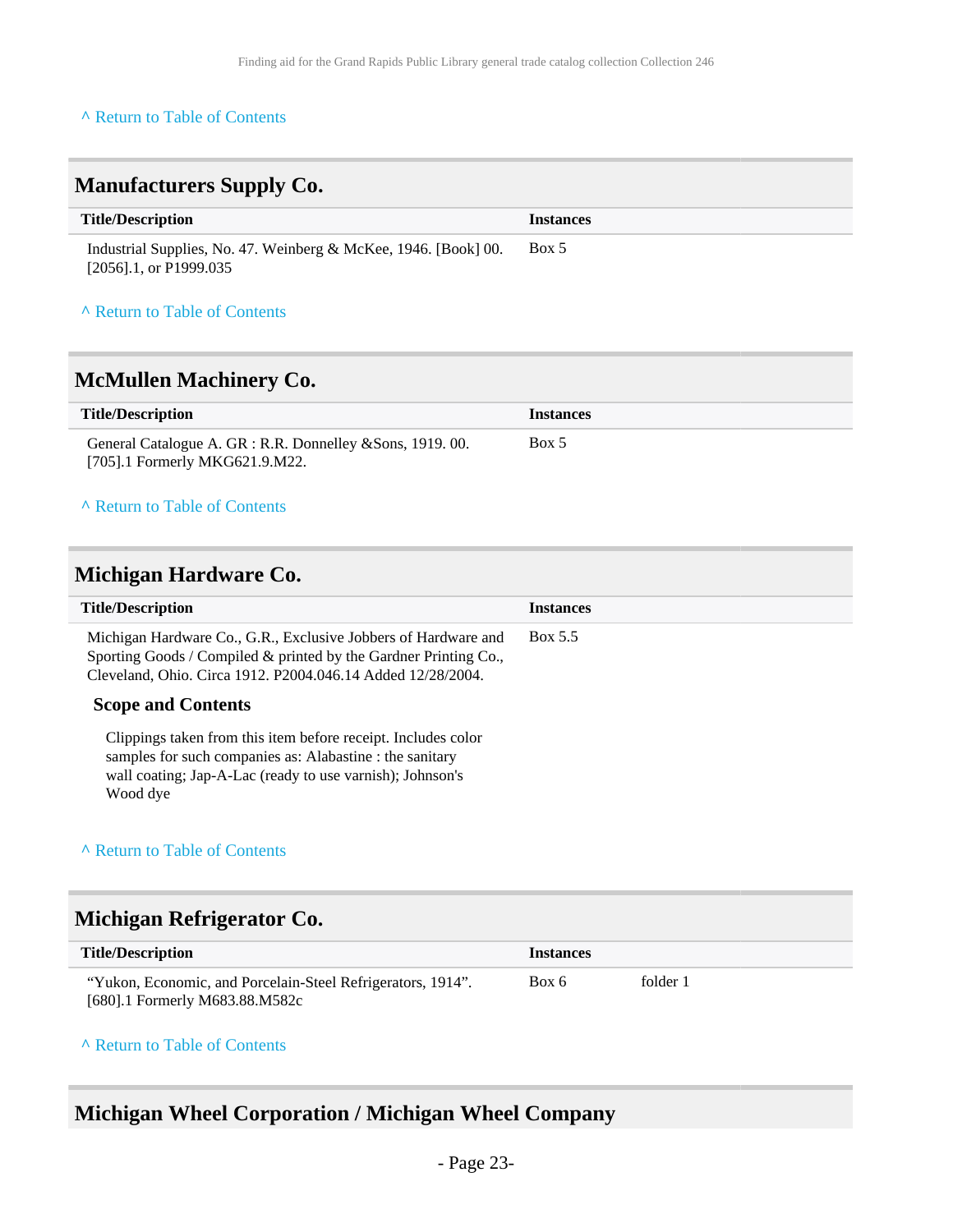<span id="page-22-0"></span>

| <b>Manufacturers Supply Co.</b>                                                              |                  |
|----------------------------------------------------------------------------------------------|------------------|
| <b>Title/Description</b>                                                                     | <b>Instances</b> |
| Industrial Supplies, No. 47. Weinberg & McKee, 1946. [Book] 00.<br>$[2056]$ .1, or P1999.035 | Box 5            |

## **^** [Return to Table of Contents](#page-1-0)

# <span id="page-22-1"></span>**McMullen Machinery Co.**

| <b>Title/Description</b>                                   | <b>Instances</b> |
|------------------------------------------------------------|------------------|
| General Catalogue A. GR : R.R. Donnelley & Sons, 1919. 00. | Box 5            |
| [705].1 Formerly MKG621.9.M22.                             |                  |

#### **^** [Return to Table of Contents](#page-1-0)

### <span id="page-22-2"></span>**Michigan Hardware Co.**

| <b>Title/Description</b>                                                                                                                                                                           | <b>Instances</b> |
|----------------------------------------------------------------------------------------------------------------------------------------------------------------------------------------------------|------------------|
| Michigan Hardware Co., G.R., Exclusive Jobbers of Hardware and<br>Sporting Goods / Compiled & printed by the Gardner Printing Co.,<br>Cleveland, Ohio. Circa 1912. P2004.046.14 Added 12/28/2004.  | Box 5.5          |
| <b>Scope and Contents</b>                                                                                                                                                                          |                  |
| Clippings taken from this item before receipt. Includes color<br>samples for such companies as: Alabastine : the sanitary<br>wall coating; Jap-A-Lac (ready to use varnish); Johnson's<br>Wood dye |                  |

### **^** [Return to Table of Contents](#page-1-0)

# <span id="page-22-3"></span>**Michigan Refrigerator Co.**

| <b>Title/Description</b>                                    | <b>Instances</b> |          |
|-------------------------------------------------------------|------------------|----------|
| "Yukon, Economic, and Porcelain-Steel Refrigerators, 1914". | Box 6            | folder 1 |
| [680].1 Formerly M683.88.M582c                              |                  |          |

#### **^** [Return to Table of Contents](#page-1-0)

# <span id="page-22-4"></span>**Michigan Wheel Corporation / Michigan Wheel Company**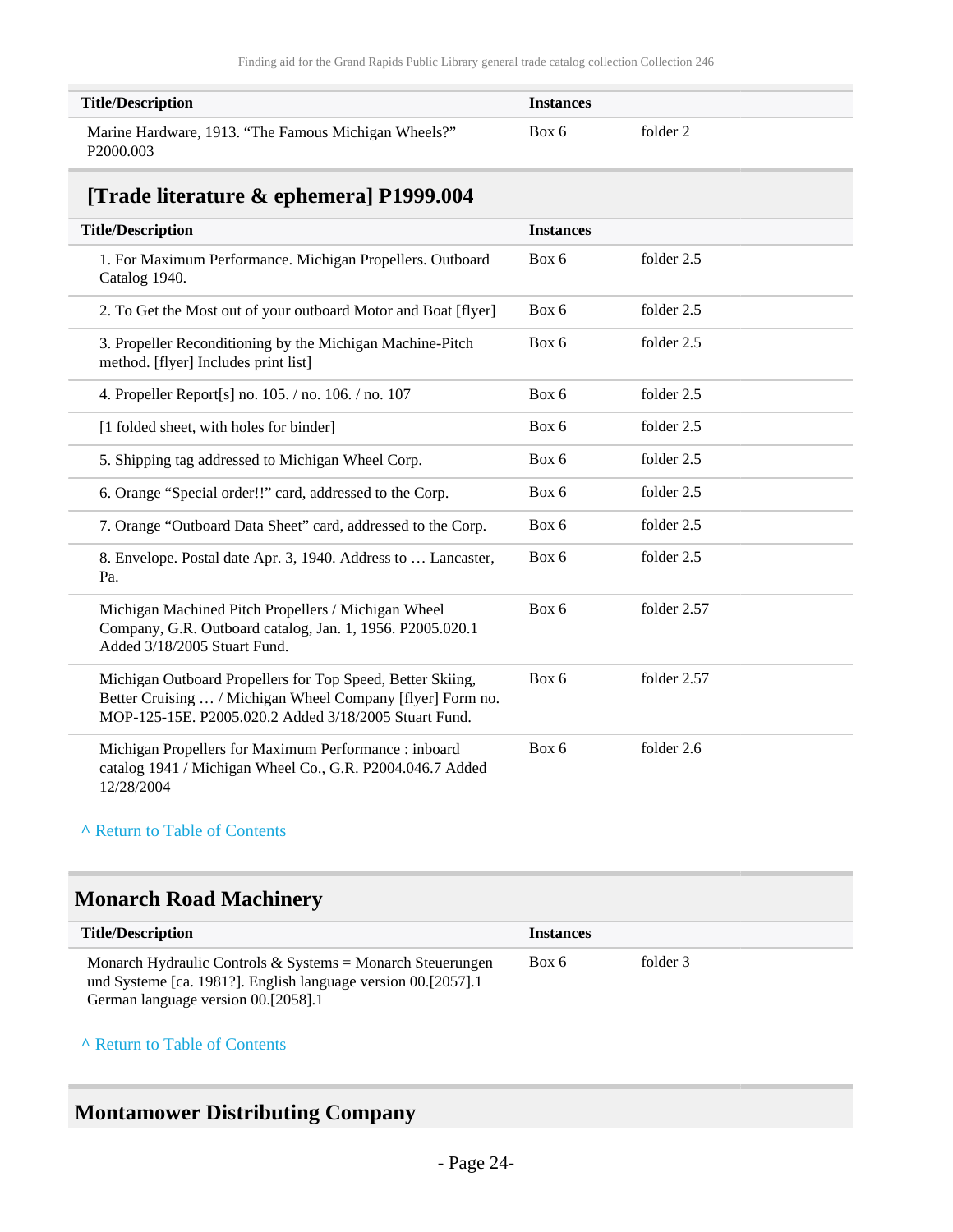| <b>Title/Description</b>                                                      | <b>Instances</b> |          |
|-------------------------------------------------------------------------------|------------------|----------|
| Marine Hardware, 1913. "The Famous Michigan Wheels?"<br>P <sub>2000.003</sub> | Box 6            | folder 2 |

# <span id="page-23-0"></span>**[Trade literature & ephemera] P1999.004**

| <b>Title/Description</b>                                                                                                                                                          | <b>Instances</b> |             |
|-----------------------------------------------------------------------------------------------------------------------------------------------------------------------------------|------------------|-------------|
| 1. For Maximum Performance. Michigan Propellers. Outboard<br>Catalog 1940.                                                                                                        | Box 6            | folder 2.5  |
| 2. To Get the Most out of your outboard Motor and Boat [flyer]                                                                                                                    | Box 6            | folder 2.5  |
| 3. Propeller Reconditioning by the Michigan Machine-Pitch<br>method. [flyer] Includes print list]                                                                                 | Box 6            | folder 2.5  |
| 4. Propeller Report[s] no. 105. / no. 106. / no. 107                                                                                                                              | Box 6            | folder 2.5  |
| [1 folded sheet, with holes for binder]                                                                                                                                           | Box 6            | folder 2.5  |
| 5. Shipping tag addressed to Michigan Wheel Corp.                                                                                                                                 | Box 6            | folder 2.5  |
| 6. Orange "Special order!!" card, addressed to the Corp.                                                                                                                          | Box 6            | folder 2.5  |
| 7. Orange "Outboard Data Sheet" card, addressed to the Corp.                                                                                                                      | Box 6            | folder 2.5  |
| 8. Envelope. Postal date Apr. 3, 1940. Address to  Lancaster,<br>Pa.                                                                                                              | Box 6            | folder 2.5  |
| Michigan Machined Pitch Propellers / Michigan Wheel<br>Company, G.R. Outboard catalog, Jan. 1, 1956. P2005.020.1<br>Added 3/18/2005 Stuart Fund.                                  | Box 6            | folder 2.57 |
| Michigan Outboard Propellers for Top Speed, Better Skiing,<br>Better Cruising  / Michigan Wheel Company [flyer] Form no.<br>MOP-125-15E. P2005.020.2 Added 3/18/2005 Stuart Fund. | Box 6            | folder 2.57 |
| Michigan Propellers for Maximum Performance : inboard<br>catalog 1941 / Michigan Wheel Co., G.R. P2004.046.7 Added<br>12/28/2004                                                  | Box 6            | folder 2.6  |

#### **^** [Return to Table of Contents](#page-1-0)

# <span id="page-23-1"></span>**Monarch Road Machinery**

| <b>Title/Description</b>                                                                                                                                           | <b>Instances</b> |          |  |
|--------------------------------------------------------------------------------------------------------------------------------------------------------------------|------------------|----------|--|
| Monarch Hydraulic Controls & Systems = Monarch Steuerungen<br>und Systeme [ca. 1981?]. English language version 00.[2057].1<br>German language version 00.[2058].1 | Box 6            | folder 3 |  |

#### **^** [Return to Table of Contents](#page-1-0)

# <span id="page-23-2"></span>**Montamower Distributing Company**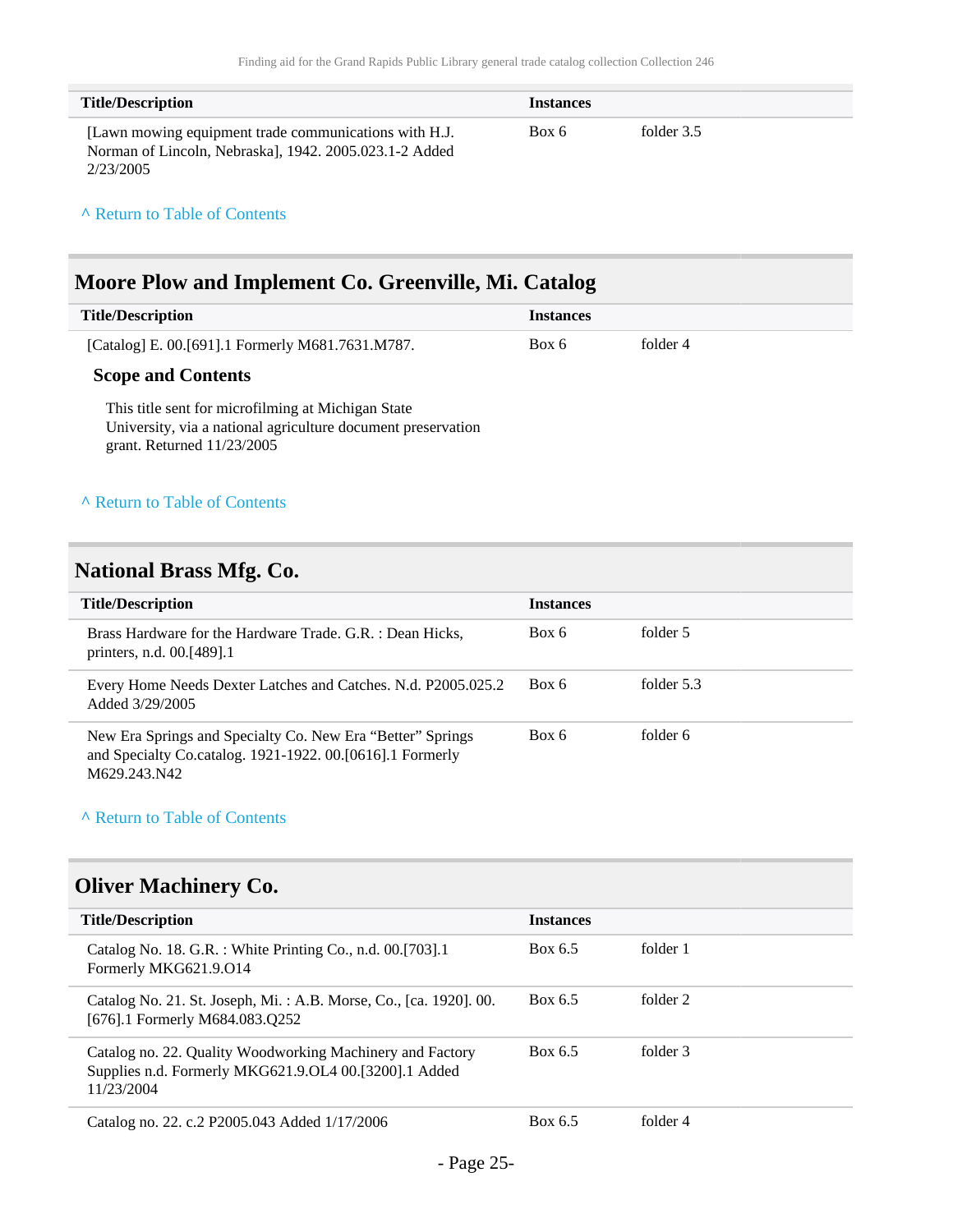| <b>Title/Description</b>                                                                                                      | <b>Instances</b> |            |
|-------------------------------------------------------------------------------------------------------------------------------|------------------|------------|
| [Lawn mowing equipment trade communications with H.J.]<br>Norman of Lincoln, Nebraskal, 1942. 2005.023.1-2 Added<br>2/23/2005 | Box 6            | folder 3.5 |

### <span id="page-24-0"></span>**Moore Plow and Implement Co. Greenville, Mi. Catalog**

| <b>Title/Description</b>                         | <i>Instances</i> |          |
|--------------------------------------------------|------------------|----------|
| [Catalog] E. 00.[691].1 Formerly M681.7631.M787. | Box 6            | folder 4 |

### **Scope and Contents**

This title sent for microfilming at Michigan State University, via a national agriculture document preservation grant. Returned 11/23/2005

#### **^** [Return to Table of Contents](#page-1-0)

### <span id="page-24-1"></span>**National Brass Mfg. Co.**

| <b>Title/Description</b>                                                                                                                | <b>Instances</b> |            |
|-----------------------------------------------------------------------------------------------------------------------------------------|------------------|------------|
| Brass Hardware for the Hardware Trade. G.R. : Dean Hicks,<br>printers, n.d. 00.[489].1                                                  | Box 6            | folder 5   |
| Every Home Needs Dexter Latches and Catches. N.d. P2005.025.2<br>Added 3/29/2005                                                        | Box 6            | folder 5.3 |
| New Era Springs and Specialty Co. New Era "Better" Springs<br>and Specialty Co.catalog. 1921-1922. 00.[0616].1 Formerly<br>M629.243.N42 | Box 6            | folder 6   |

#### **^** [Return to Table of Contents](#page-1-0)

# <span id="page-24-2"></span>**Oliver Machinery Co.**

| <b>Title/Description</b>                                                                                                         | <b>Instances</b> |          |
|----------------------------------------------------------------------------------------------------------------------------------|------------------|----------|
| Catalog No. 18. G.R. : White Printing Co., n.d. 00.[703].1<br>Formerly MKG621.9.014                                              | Box 6.5          | folder 1 |
| Catalog No. 21. St. Joseph, Mi.: A.B. Morse, Co., [ca. 1920]. 00.<br>[676].1 Formerly M684.083.Q252                              | Box 6.5          | folder 2 |
| Catalog no. 22. Quality Woodworking Machinery and Factory<br>Supplies n.d. Formerly MKG621.9.OL4 00.[3200].1 Added<br>11/23/2004 | Box 6.5          | folder 3 |
| Catalog no. 22. c.2 P2005.043 Added 1/17/2006                                                                                    | Box 6.5          | folder 4 |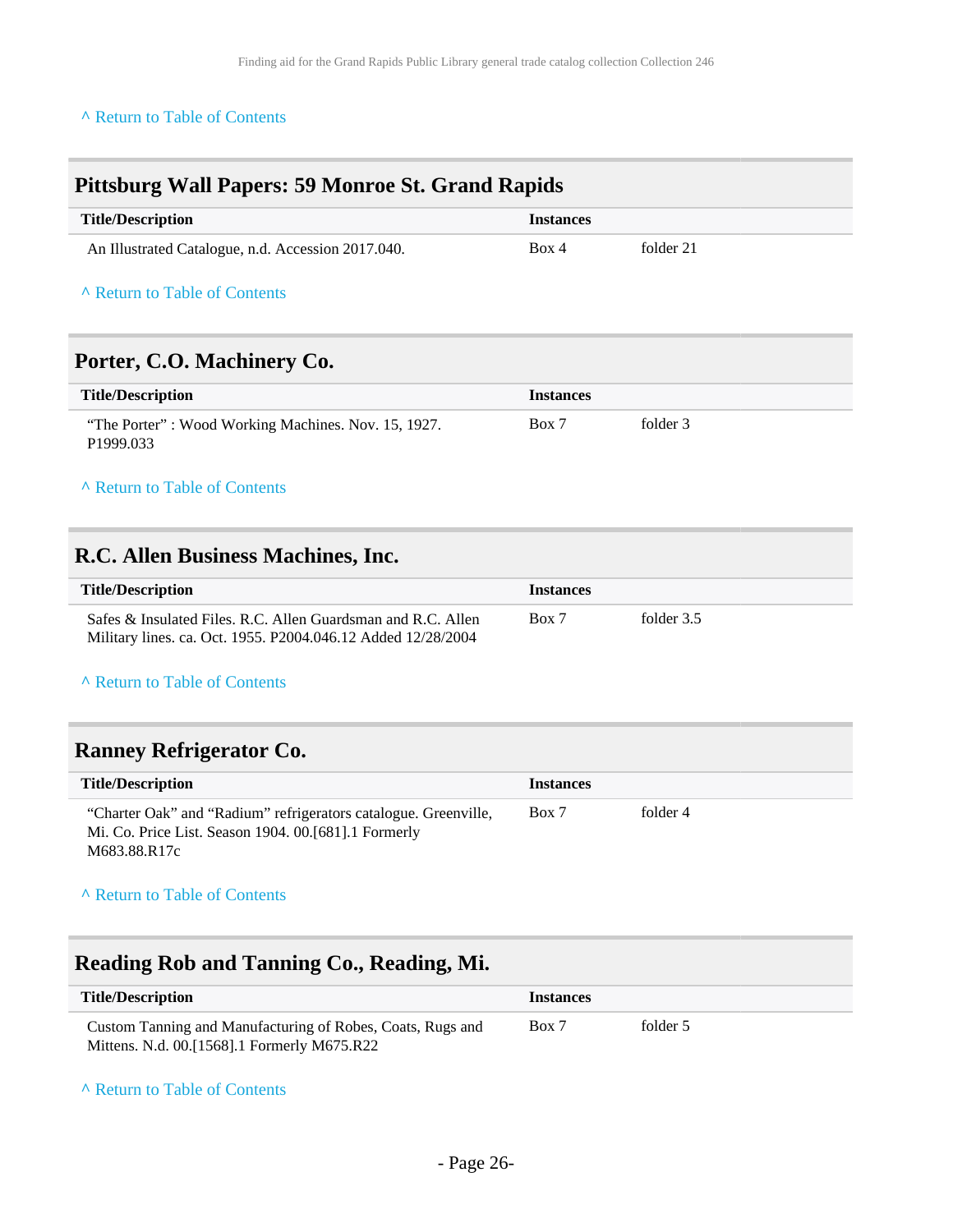## <span id="page-25-0"></span>**Pittsburg Wall Papers: 59 Monroe St. Grand Rapids**

| <b>Title/Description</b>                           | <i>Instances</i> |           |
|----------------------------------------------------|------------------|-----------|
| An Illustrated Catalogue, n.d. Accession 2017.040. | Box 4            | folder 21 |

#### **^** [Return to Table of Contents](#page-1-0)

### <span id="page-25-1"></span>**Porter, C.O. Machinery Co.**

| <b>Title/Description</b>                                                     | <i><u><b>Instances</b></u></i> |          |
|------------------------------------------------------------------------------|--------------------------------|----------|
| "The Porter": Wood Working Machines. Nov. 15, 1927.<br>P <sub>1999.033</sub> | Box 7                          | folder 3 |

### **^** [Return to Table of Contents](#page-1-0)

### <span id="page-25-2"></span>**R.C. Allen Business Machines, Inc.**

| <b>Title/Description</b><br><b>Instances</b>                                                                                          |            |
|---------------------------------------------------------------------------------------------------------------------------------------|------------|
| Box 7<br>Safes & Insulated Files, R.C. Allen Guardsman and R.C. Allen<br>Military lines. ca. Oct. 1955. P2004.046.12 Added 12/28/2004 | folder 3.5 |

#### **^** [Return to Table of Contents](#page-1-0)

### <span id="page-25-3"></span>**Ranney Refrigerator Co.**

| <b>Title/Description</b>                                                                                                                  | <b>Instances</b> |          |
|-------------------------------------------------------------------------------------------------------------------------------------------|------------------|----------|
| "Charter Oak" and "Radium" refrigerators catalogue. Greenville,<br>Mi. Co. Price List. Season 1904. 00. [681]. 1 Formerly<br>M683.88.R17c | Box 7            | folder 4 |

### **^** [Return to Table of Contents](#page-1-0)

# <span id="page-25-4"></span>**Reading Rob and Tanning Co., Reading, Mi.**

| <b>Title/Description</b>                                   | <i><u><b>Instances</b></u></i> |          |
|------------------------------------------------------------|--------------------------------|----------|
| Custom Tanning and Manufacturing of Robes, Coats, Rugs and | Box 7                          | folder 5 |
| Mittens. N.d. 00.[1568].1 Formerly M675.R22                |                                |          |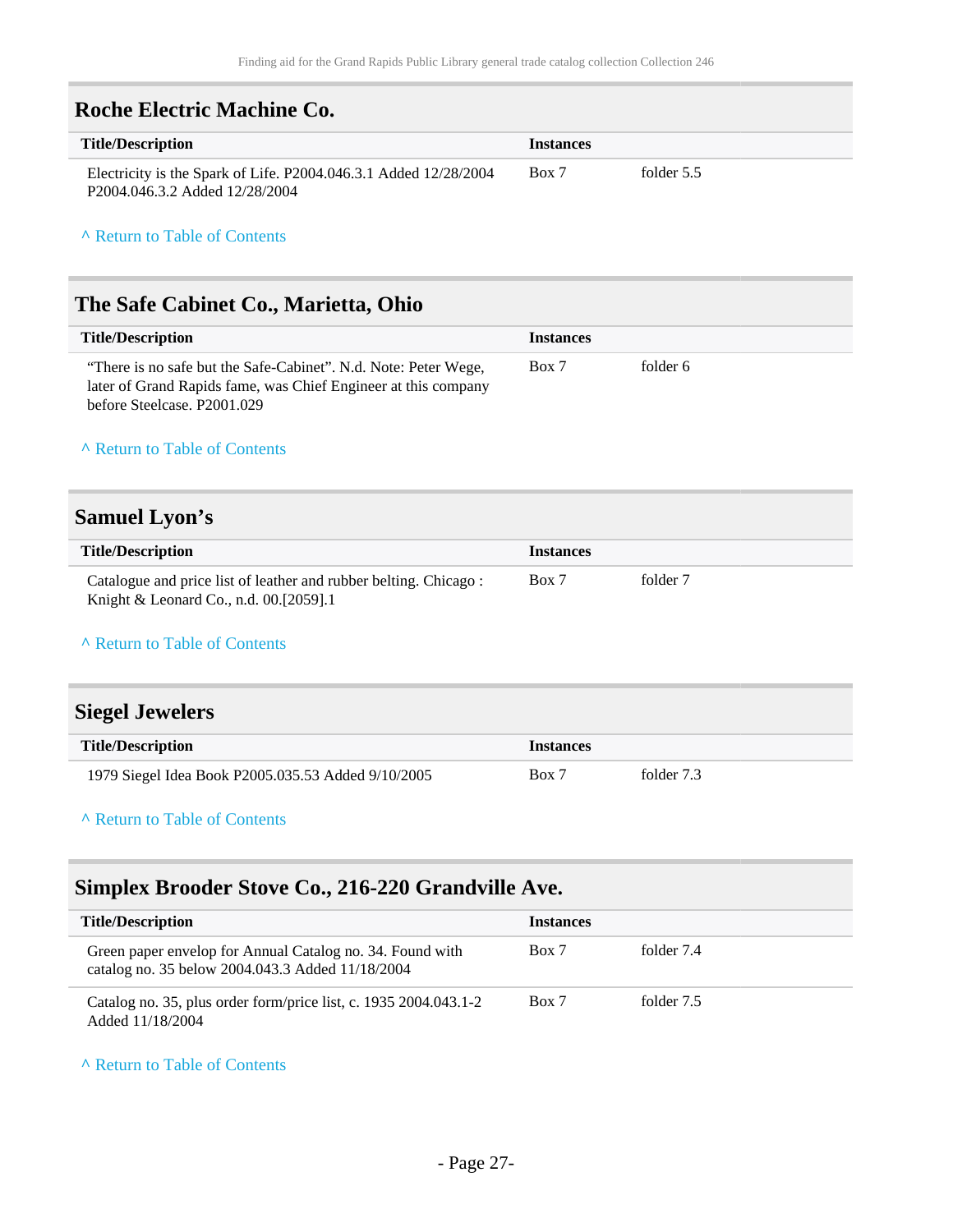<span id="page-26-0"></span>

| Roche Electric Machine Co.                                                                         |                  |            |
|----------------------------------------------------------------------------------------------------|------------------|------------|
| <b>Title/Description</b>                                                                           | <b>Instances</b> |            |
| Electricity is the Spark of Life. P2004.046.3.1 Added 12/28/2004<br>P2004.046.3.2 Added 12/28/2004 | Box 7            | folder 5.5 |

# <span id="page-26-1"></span>**The Safe Cabinet Co., Marietta, Ohio**

| <b>Title/Description</b>                                                                                                                                         | <b>Instances</b> |          |
|------------------------------------------------------------------------------------------------------------------------------------------------------------------|------------------|----------|
| "There is no safe but the Safe-Cabinet". N.d. Note: Peter Wege,<br>later of Grand Rapids fame, was Chief Engineer at this company<br>before Steelcase, P2001.029 | Box 7            | folder 6 |

#### **^** [Return to Table of Contents](#page-1-0)

# <span id="page-26-2"></span>**Samuel Lyon's**

| <b>Title/Description</b>                                         | <b>Instances</b> |          |  |
|------------------------------------------------------------------|------------------|----------|--|
| Catalogue and price list of leather and rubber belting. Chicago: | Box 7            | folder 7 |  |
| Knight & Leonard Co., n.d. 00.[2059].1                           |                  |          |  |

#### **^** [Return to Table of Contents](#page-1-0)

<span id="page-26-3"></span>

| <b>Siegel Jewelers</b>                             |                  |            |
|----------------------------------------------------|------------------|------------|
| <b>Title/Description</b>                           | <b>Instances</b> |            |
| 1979 Siegel Idea Book P2005.035.53 Added 9/10/2005 | Box 7            | folder 7.3 |

#### **^** [Return to Table of Contents](#page-1-0)

## <span id="page-26-4"></span>**Simplex Brooder Stove Co., 216-220 Grandville Ave.**

| <b>Title/Description</b>                                                                                      | <b>Instances</b> |            |
|---------------------------------------------------------------------------------------------------------------|------------------|------------|
| Green paper envelop for Annual Catalog no. 34. Found with<br>catalog no. 35 below 2004.043.3 Added 11/18/2004 | Box 7            | folder 7.4 |
| Catalog no. 35, plus order form/price list, c. 1935 2004.043.1-2<br>Added 11/18/2004                          | Box 7            | folder 7.5 |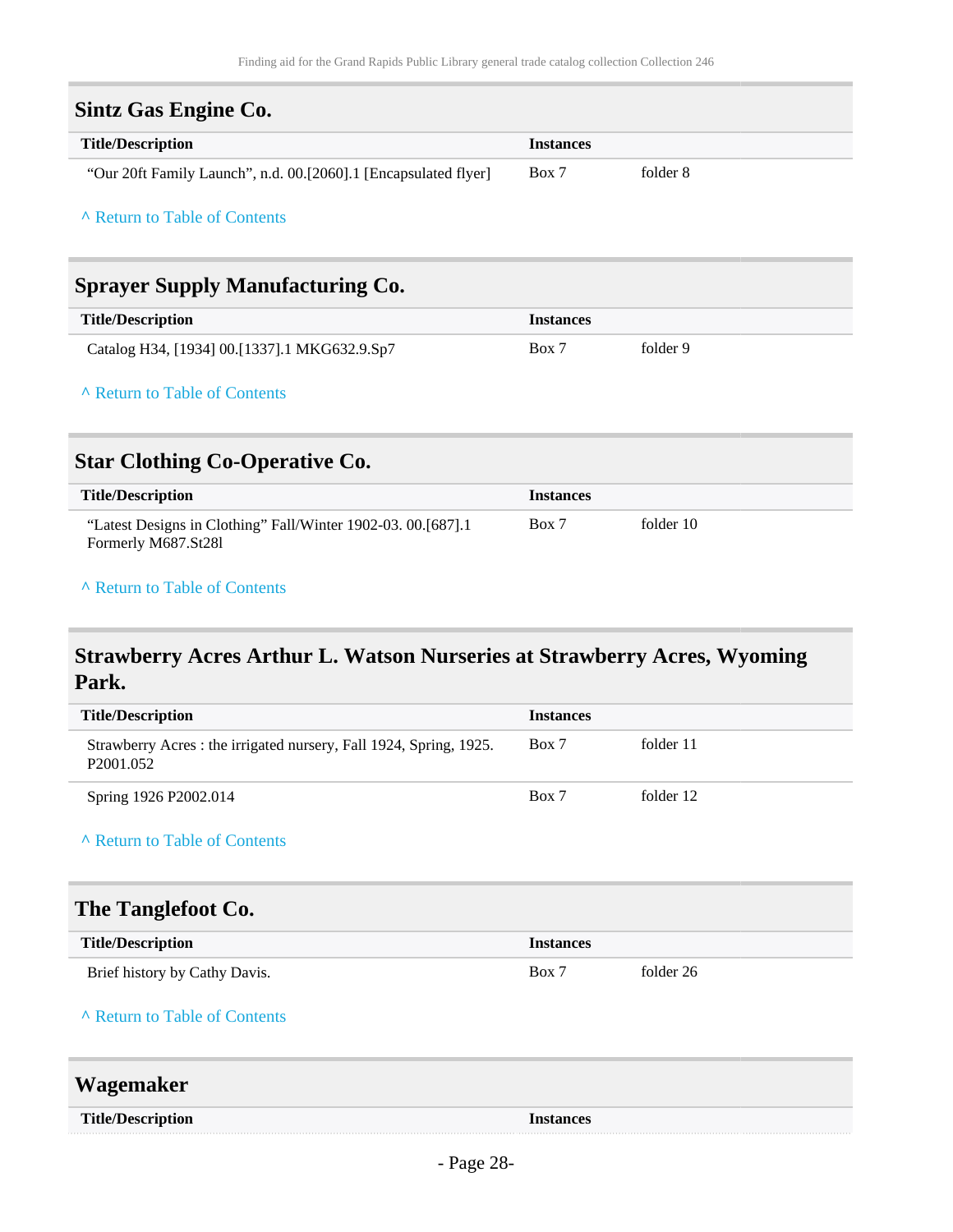<span id="page-27-1"></span><span id="page-27-0"></span>

| <b>Sintz Gas Engine Co.</b>                                                         |                  |           |
|-------------------------------------------------------------------------------------|------------------|-----------|
| <b>Title/Description</b>                                                            | <b>Instances</b> |           |
| "Our 20ft Family Launch", n.d. 00.[2060].1 [Encapsulated flyer]                     | Box 7            | folder 8  |
| A Return to Table of Contents                                                       |                  |           |
| <b>Sprayer Supply Manufacturing Co.</b>                                             |                  |           |
| <b>Title/Description</b>                                                            | <b>Instances</b> |           |
| Catalog H34, [1934] 00.[1337].1 MKG632.9.Sp7                                        | Box 7            | folder 9  |
| A Return to Table of Contents                                                       |                  |           |
| <b>Star Clothing Co-Operative Co.</b>                                               |                  |           |
| <b>Title/Description</b>                                                            | <b>Instances</b> |           |
| "Latest Designs in Clothing" Fall/Winter 1902-03. 00.[687].1<br>Formerly M687.St28l | Box 7            | folder 10 |
| A Return to Table of Contents                                                       |                  |           |

# <span id="page-27-3"></span><span id="page-27-2"></span>**Strawberry Acres Arthur L. Watson Nurseries at Strawberry Acres, Wyoming Park.**

<span id="page-27-5"></span><span id="page-27-4"></span>

| <b>Title/Description</b>                                                                   | <b>Instances</b> |           |
|--------------------------------------------------------------------------------------------|------------------|-----------|
| Strawberry Acres: the irrigated nursery, Fall 1924, Spring, 1925.<br>P <sub>2001.052</sub> | Box 7            | folder 11 |
| Spring 1926 P2002.014                                                                      | Box 7            | folder 12 |
| A Return to Table of Contents                                                              |                  |           |
| The Tanglefoot Co.                                                                         |                  |           |
| <b>Title/Description</b>                                                                   | <b>Instances</b> |           |
| Brief history by Cathy Davis.                                                              | Box 7            | folder 26 |
| A Return to Table of Contents                                                              |                  |           |
| Wagemaker                                                                                  |                  |           |
| <b>Title/Description</b>                                                                   | <b>Instances</b> |           |
|                                                                                            |                  |           |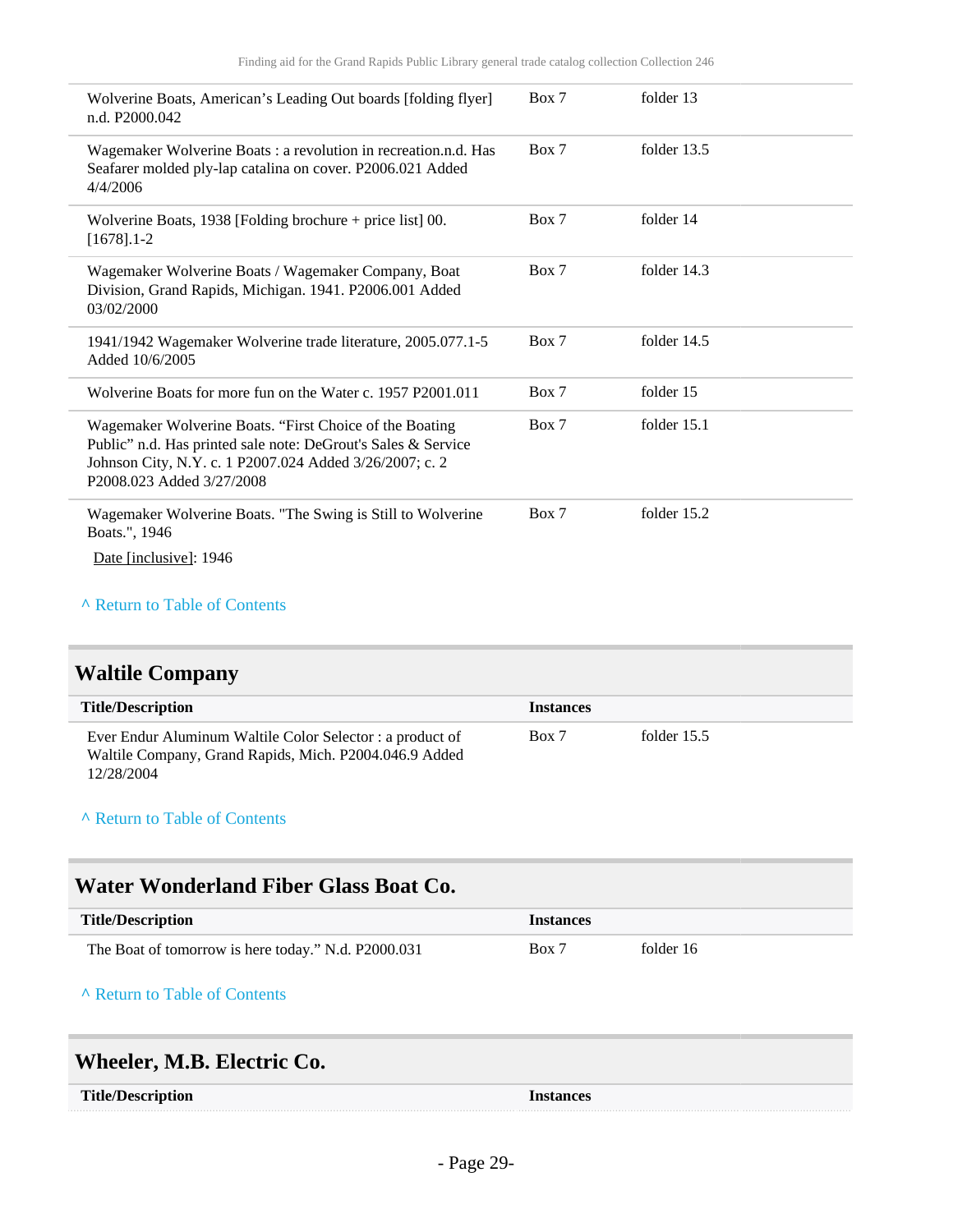| Wolverine Boats, American's Leading Out boards [folding flyer]<br>n.d. P2000.042                                                                                                                                 | Box 7 | folder 13     |
|------------------------------------------------------------------------------------------------------------------------------------------------------------------------------------------------------------------|-------|---------------|
| Wagemaker Wolverine Boats : a revolution in recreation.n.d. Has<br>Seafarer molded ply-lap catalina on cover. P2006.021 Added<br>4/4/2006                                                                        | Box 7 | folder 13.5   |
| Wolverine Boats, $1938$ [Folding brochure + price list] 00.<br>$[1678]$ . 1-2                                                                                                                                    | Box 7 | folder 14     |
| Wagemaker Wolverine Boats / Wagemaker Company, Boat<br>Division, Grand Rapids, Michigan. 1941. P2006.001 Added<br>03/02/2000                                                                                     | Box 7 | folder 14.3   |
| 1941/1942 Wagemaker Wolverine trade literature, 2005.077.1-5<br>Added 10/6/2005                                                                                                                                  | Box 7 | folder 14.5   |
| Wolverine Boats for more fun on the Water c. 1957 P2001.011                                                                                                                                                      | Box 7 | folder 15     |
| Wagemaker Wolverine Boats. "First Choice of the Boating<br>Public" n.d. Has printed sale note: DeGrout's Sales & Service<br>Johnson City, N.Y. c. 1 P2007.024 Added 3/26/2007; c. 2<br>P2008.023 Added 3/27/2008 | Box 7 | folder $15.1$ |
| Wagemaker Wolverine Boats. "The Swing is Still to Wolverine<br>Boats.", 1946<br>Date [inclusive]: 1946                                                                                                           | Box 7 | folder 15.2   |

# <span id="page-28-0"></span>**Waltile Company**

| <b>Title/Description</b>                                                                                                         | <b>Instances</b> |               |
|----------------------------------------------------------------------------------------------------------------------------------|------------------|---------------|
| Ever Endur Aluminum Waltile Color Selector: a product of<br>Waltile Company, Grand Rapids, Mich. P2004.046.9 Added<br>12/28/2004 | Box 7            | folder $15.5$ |

#### **^** [Return to Table of Contents](#page-1-0)

### <span id="page-28-1"></span>**Water Wonderland Fiber Glass Boat Co.**

| <b>Title/Description</b>                            | <b>Instances</b> |           |
|-----------------------------------------------------|------------------|-----------|
| The Boat of tomorrow is here today." N.d. P2000.031 | Box 7            | folder 16 |

### **^** [Return to Table of Contents](#page-1-0)

# <span id="page-28-2"></span>**Wheeler, M.B. Electric Co.**

| <b>Title/Description</b> | <b>Instances</b> |
|--------------------------|------------------|
|--------------------------|------------------|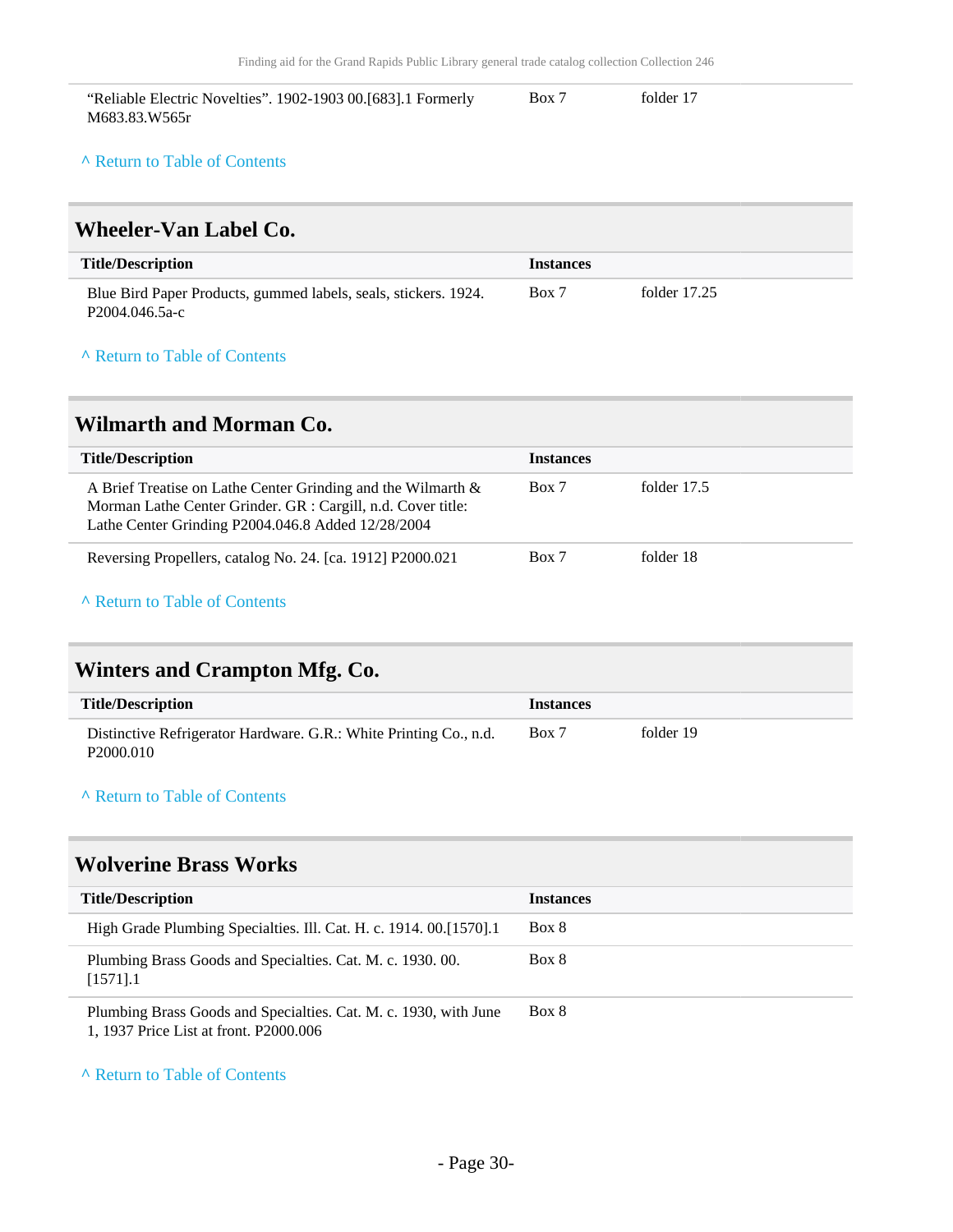| "Reliable Electric Novelties". 1902-1903 00.[683].1 Formerly | Box 7 | folder 17 |  |
|--------------------------------------------------------------|-------|-----------|--|
| M683.83.W565r                                                |       |           |  |

### <span id="page-29-0"></span>**Wheeler-Van Label Co.**

| <b>Title/Description</b>                                                          | <i>Instances</i> |                |
|-----------------------------------------------------------------------------------|------------------|----------------|
| Blue Bird Paper Products, gummed labels, seals, stickers. 1924.<br>P2004.046.5a-c | Box 7            | folder $17.25$ |

### **^** [Return to Table of Contents](#page-1-0)

### <span id="page-29-1"></span>**Wilmarth and Morman Co.**

| <b>Title/Description</b>                                                                                                                                                              | <b>Instances</b> |             |
|---------------------------------------------------------------------------------------------------------------------------------------------------------------------------------------|------------------|-------------|
| A Brief Treatise on Lathe Center Grinding and the Wilmarth $\&$<br>Morman Lathe Center Grinder. GR : Cargill, n.d. Cover title:<br>Lathe Center Grinding P2004.046.8 Added 12/28/2004 | Box 7            | folder 17.5 |
| Reversing Propellers, catalog No. 24. [ca. 1912] P2000.021                                                                                                                            | Box 7            | folder 18   |

### **^** [Return to Table of Contents](#page-1-0)

# <span id="page-29-2"></span>**Winters and Crampton Mfg. Co.**

| <b>Title/Description</b>                                                                   | <b>Instances</b> |           |
|--------------------------------------------------------------------------------------------|------------------|-----------|
| Distinctive Refrigerator Hardware. G.R.: White Printing Co., n.d.<br>P <sub>2000.010</sub> | Box 7            | folder 19 |

#### **^** [Return to Table of Contents](#page-1-0)

### <span id="page-29-3"></span>**Wolverine Brass Works**

| <b>Title/Description</b>                                                                                   | <b>Instances</b> |
|------------------------------------------------------------------------------------------------------------|------------------|
| High Grade Plumbing Specialties. Ill. Cat. H. c. 1914. 00. [1570]. 1                                       | Box 8            |
| Plumbing Brass Goods and Specialties. Cat. M. c. 1930. 00.<br>$[1571]$ .1                                  | Box 8            |
| Plumbing Brass Goods and Specialties. Cat. M. c. 1930, with June<br>1, 1937 Price List at front. P2000.006 | Box 8            |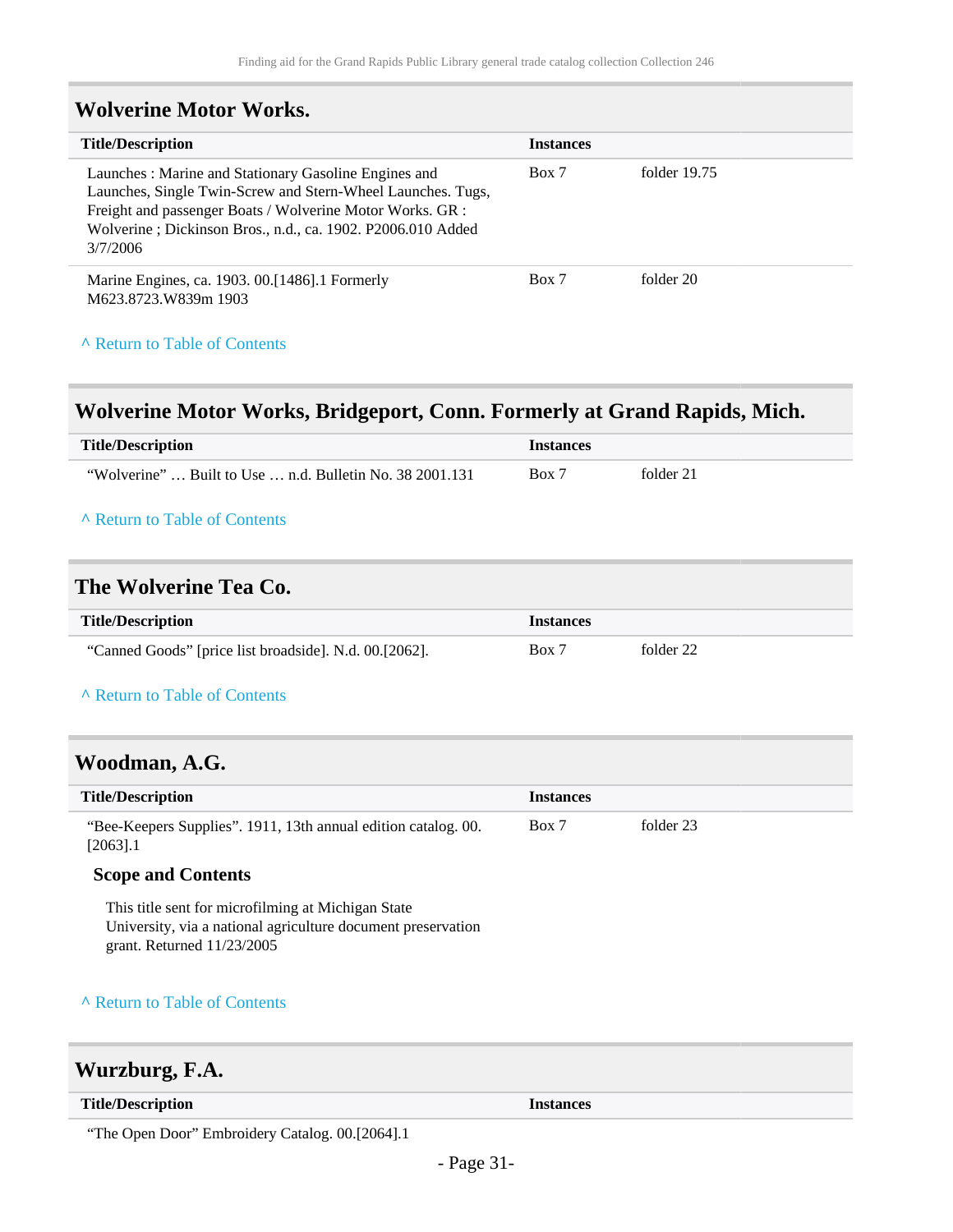## <span id="page-30-0"></span>**Wolverine Motor Works.**

| <b>Title/Description</b>                                                                                                                                                                                                                                    | <b>Instances</b> |                |
|-------------------------------------------------------------------------------------------------------------------------------------------------------------------------------------------------------------------------------------------------------------|------------------|----------------|
| Launches: Marine and Stationary Gasoline Engines and<br>Launches, Single Twin-Screw and Stern-Wheel Launches. Tugs,<br>Freight and passenger Boats / Wolverine Motor Works. GR :<br>Wolverine; Dickinson Bros., n.d., ca. 1902. P2006.010 Added<br>3/7/2006 | Box 7            | folder $19.75$ |
| Marine Engines, ca. 1903. 00. [1486]. 1 Formerly<br>M623.8723.W839m 1903                                                                                                                                                                                    | Box 7            | folder 20      |

### **^** [Return to Table of Contents](#page-1-0)

### <span id="page-30-1"></span>**Wolverine Motor Works, Bridgeport, Conn. Formerly at Grand Rapids, Mich.**

| <b>Title/Description</b>                                               | <b>Instances</b> |           |
|------------------------------------------------------------------------|------------------|-----------|
| "Wolverine" $\dots$ Built to Use $\dots$ n.d. Bulletin No. 38 2001.131 | Box 7            | folder 21 |
| A Return to Table of Contents                                          |                  |           |

### <span id="page-30-2"></span>**The Wolverine Tea Co.**

| <b>Title/Description</b>                               | <i>Instances</i> |           |
|--------------------------------------------------------|------------------|-----------|
| "Canned Goods" [price list broadside]. N.d. 00.[2062]. | Box 7            | folder 22 |

### **^** [Return to Table of Contents](#page-1-0)

### <span id="page-30-3"></span>**Woodman, A.G.**

| <b>Title/Description</b>                                                      | <b>Instances</b> |           |
|-------------------------------------------------------------------------------|------------------|-----------|
| "Bee-Keepers Supplies". 1911, 13th annual edition catalog. 00.<br>$[2063]$ .1 | Box 7            | folder 23 |

### **Scope and Contents**

This title sent for microfilming at Michigan State University, via a national agriculture document preservation grant. Returned 11/23/2005

### **^** [Return to Table of Contents](#page-1-0)

### <span id="page-30-4"></span>**Wurzburg, F.A.**

| <b>Title/Description</b> | nstances |
|--------------------------|----------|
|                          |          |

"The Open Door" Embroidery Catalog. 00.[2064].1